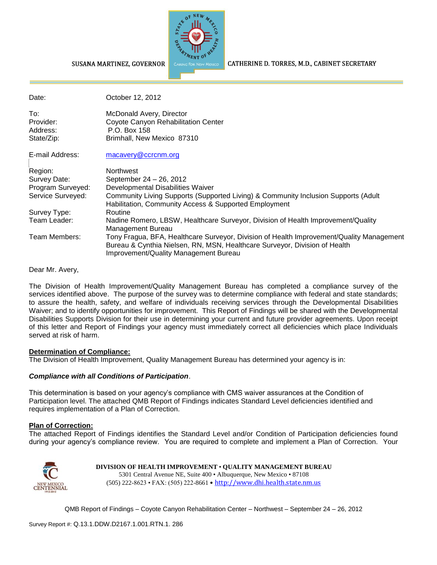

SUSANA MARTINEZ, GOVERNOR

CATHERINE D. TORRES, M.D., CABINET SECRETARY

| Date:             | October 12, 2012                                                                                                                                                                                                |
|-------------------|-----------------------------------------------------------------------------------------------------------------------------------------------------------------------------------------------------------------|
| To:               | McDonald Avery, Director                                                                                                                                                                                        |
| Provider:         | Coyote Canyon Rehabilitation Center                                                                                                                                                                             |
| Address:          | P.O. Box 158                                                                                                                                                                                                    |
| State/Zip:        | Brimhall, New Mexico 87310                                                                                                                                                                                      |
| E-mail Address:   | macavery@ccrcnm.org                                                                                                                                                                                             |
| Region:           | <b>Northwest</b>                                                                                                                                                                                                |
| Survey Date:      | September 24 - 26, 2012                                                                                                                                                                                         |
| Program Surveyed: | Developmental Disabilities Waiver                                                                                                                                                                               |
| Service Surveyed: | Community Living Supports (Supported Living) & Community Inclusion Supports (Adult<br>Habilitation, Community Access & Supported Employment                                                                     |
| Survey Type:      | Routine                                                                                                                                                                                                         |
| Team Leader:      | Nadine Romero, LBSW, Healthcare Surveyor, Division of Health Improvement/Quality<br>Management Bureau                                                                                                           |
| Team Members:     | Tony Fragua, BFA, Healthcare Surveyor, Division of Health Improvement/Quality Management<br>Bureau & Cynthia Nielsen, RN, MSN, Healthcare Surveyor, Division of Health<br>Improvement/Quality Management Bureau |

Dear Mr. Avery,

The Division of Health Improvement/Quality Management Bureau has completed a compliance survey of the services identified above. The purpose of the survey was to determine compliance with federal and state standards; to assure the health, safety, and welfare of individuals receiving services through the Developmental Disabilities Waiver; and to identify opportunities for improvement. This Report of Findings will be shared with the Developmental Disabilities Supports Division for their use in determining your current and future provider agreements. Upon receipt of this letter and Report of Findings your agency must immediately correct all deficiencies which place Individuals served at risk of harm.

### **Determination of Compliance:**

The Division of Health Improvement, Quality Management Bureau has determined your agency is in:

### *Compliance with all Conditions of Participation*.

This determination is based on your agency's compliance with CMS waiver assurances at the Condition of Participation level. The attached QMB Report of Findings indicates Standard Level deficiencies identified and requires implementation of a Plan of Correction.

### **Plan of Correction:**

The attached Report of Findings identifies the Standard Level and/or Condition of Participation deficiencies found during your agency's compliance review. You are required to complete and implement a Plan of Correction. Your



#### **DIVISION OF HEALTH IMPROVEMENT** • **QUALITY MANAGEMENT BUREAU** 5301 Central Avenue NE, Suite 400 • Albuquerque, New Mexico • 87108 (505) 222-8623 • FAX: (505) 222-8661 • http://www.dhi.health.state.nm.us

QMB Report of Findings – Coyote Canyon Rehabilitation Center – Northwest – September 24 – 26, 2012

Survey Report #: Q.13.1.DDW.D2167.1.001.RTN.1. 286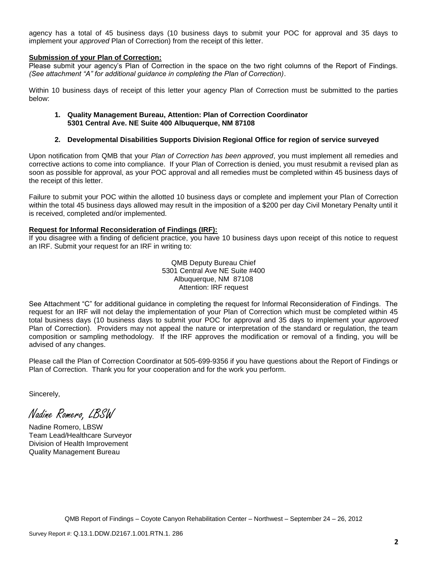agency has a total of 45 business days (10 business days to submit your POC for approval and 35 days to implement your *approved* Plan of Correction) from the receipt of this letter.

### **Submission of your Plan of Correction:**

Please submit your agency's Plan of Correction in the space on the two right columns of the Report of Findings. *(See attachment "A" for additional guidance in completing the Plan of Correction)*.

Within 10 business days of receipt of this letter your agency Plan of Correction must be submitted to the parties below:

#### **1. Quality Management Bureau, Attention: Plan of Correction Coordinator 5301 Central Ave. NE Suite 400 Albuquerque, NM 87108**

#### **2. Developmental Disabilities Supports Division Regional Office for region of service surveyed**

Upon notification from QMB that your *Plan of Correction has been approved*, you must implement all remedies and corrective actions to come into compliance. If your Plan of Correction is denied, you must resubmit a revised plan as soon as possible for approval, as your POC approval and all remedies must be completed within 45 business days of the receipt of this letter.

Failure to submit your POC within the allotted 10 business days or complete and implement your Plan of Correction within the total 45 business days allowed may result in the imposition of a \$200 per day Civil Monetary Penalty until it is received, completed and/or implemented.

#### **Request for Informal Reconsideration of Findings (IRF):**

If you disagree with a finding of deficient practice, you have 10 business days upon receipt of this notice to request an IRF. Submit your request for an IRF in writing to:

> QMB Deputy Bureau Chief 5301 Central Ave NE Suite #400 Albuquerque, NM 87108 Attention: IRF request

See Attachment "C" for additional guidance in completing the request for Informal Reconsideration of Findings. The request for an IRF will not delay the implementation of your Plan of Correction which must be completed within 45 total business days (10 business days to submit your POC for approval and 35 days to implement your *approved* Plan of Correction). Providers may not appeal the nature or interpretation of the standard or regulation, the team composition or sampling methodology. If the IRF approves the modification or removal of a finding, you will be advised of any changes.

Please call the Plan of Correction Coordinator at 505-699-9356 if you have questions about the Report of Findings or Plan of Correction. Thank you for your cooperation and for the work you perform.

Sincerely,

Nadine Romero, LBSW

Nadine Romero, LBSW Team Lead/Healthcare Surveyor Division of Health Improvement Quality Management Bureau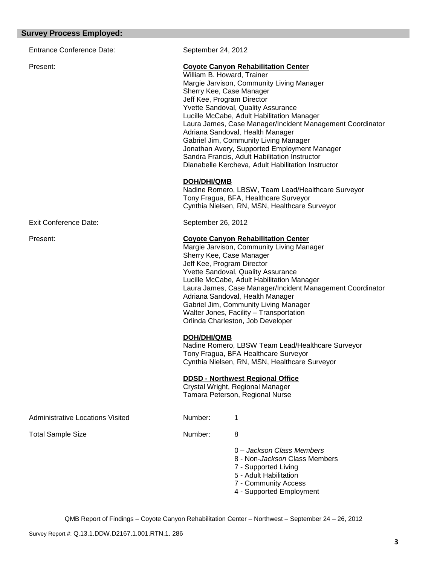| arvey i rocess Employea.                |                                                                                                                                                                                                                                                                                                                                                                                                                                                                 |                                                                                                                                                                                                                                                                                                                                                                                                                                                                                                                                                                             |
|-----------------------------------------|-----------------------------------------------------------------------------------------------------------------------------------------------------------------------------------------------------------------------------------------------------------------------------------------------------------------------------------------------------------------------------------------------------------------------------------------------------------------|-----------------------------------------------------------------------------------------------------------------------------------------------------------------------------------------------------------------------------------------------------------------------------------------------------------------------------------------------------------------------------------------------------------------------------------------------------------------------------------------------------------------------------------------------------------------------------|
| <b>Entrance Conference Date:</b>        | September 24, 2012                                                                                                                                                                                                                                                                                                                                                                                                                                              |                                                                                                                                                                                                                                                                                                                                                                                                                                                                                                                                                                             |
| Present:                                | William B. Howard, Trainer<br>Sherry Kee, Case Manager<br>Jeff Kee, Program Director<br><b>DOH/DHI/QMB</b>                                                                                                                                                                                                                                                                                                                                                      | <b>Coyote Canyon Rehabilitation Center</b><br>Margie Jarvison, Community Living Manager<br>Yvette Sandoval, Quality Assurance<br>Lucille McCabe, Adult Habilitation Manager<br>Laura James, Case Manager/Incident Management Coordinator<br>Adriana Sandoval, Health Manager<br>Gabriel Jim, Community Living Manager<br>Jonathan Avery, Supported Employment Manager<br>Sandra Francis, Adult Habilitation Instructor<br>Dianabelle Kercheva, Adult Habilitation Instructor<br>Nadine Romero, LBSW, Team Lead/Healthcare Surveyor<br>Tony Fragua, BFA, Healthcare Surveyor |
| <b>Exit Conference Date:</b>            | September 26, 2012                                                                                                                                                                                                                                                                                                                                                                                                                                              | Cynthia Nielsen, RN, MSN, Healthcare Surveyor                                                                                                                                                                                                                                                                                                                                                                                                                                                                                                                               |
|                                         |                                                                                                                                                                                                                                                                                                                                                                                                                                                                 |                                                                                                                                                                                                                                                                                                                                                                                                                                                                                                                                                                             |
| Present:                                | <b>Coyote Canyon Rehabilitation Center</b><br>Margie Jarvison, Community Living Manager<br>Sherry Kee, Case Manager<br>Jeff Kee, Program Director<br>Yvette Sandoval, Quality Assurance<br>Lucille McCabe, Adult Habilitation Manager<br>Laura James, Case Manager/Incident Management Coordinator<br>Adriana Sandoval, Health Manager<br>Gabriel Jim, Community Living Manager<br>Walter Jones, Facility - Transportation<br>Orlinda Charleston, Job Developer |                                                                                                                                                                                                                                                                                                                                                                                                                                                                                                                                                                             |
|                                         | <b>DOH/DHI/QMB</b>                                                                                                                                                                                                                                                                                                                                                                                                                                              | Nadine Romero, LBSW Team Lead/Healthcare Surveyor<br>Tony Fragua, BFA Healthcare Surveyor<br>Cynthia Nielsen, RN, MSN, Healthcare Surveyor                                                                                                                                                                                                                                                                                                                                                                                                                                  |
|                                         |                                                                                                                                                                                                                                                                                                                                                                                                                                                                 | <b>DDSD - Northwest Regional Office</b><br>Crystal Wright, Regional Manager<br>Tamara Peterson, Regional Nurse                                                                                                                                                                                                                                                                                                                                                                                                                                                              |
| <b>Administrative Locations Visited</b> | Number:                                                                                                                                                                                                                                                                                                                                                                                                                                                         | 1                                                                                                                                                                                                                                                                                                                                                                                                                                                                                                                                                                           |
| <b>Total Sample Size</b>                | Number:                                                                                                                                                                                                                                                                                                                                                                                                                                                         | 8                                                                                                                                                                                                                                                                                                                                                                                                                                                                                                                                                                           |
|                                         |                                                                                                                                                                                                                                                                                                                                                                                                                                                                 | 0 - Jackson Class Members<br>8 - Non- <i>Jackson</i> Class Members<br>7 - Supported Living<br>5 - Adult Habilitation<br>7 - Community Access<br>4 - Supported Employment                                                                                                                                                                                                                                                                                                                                                                                                    |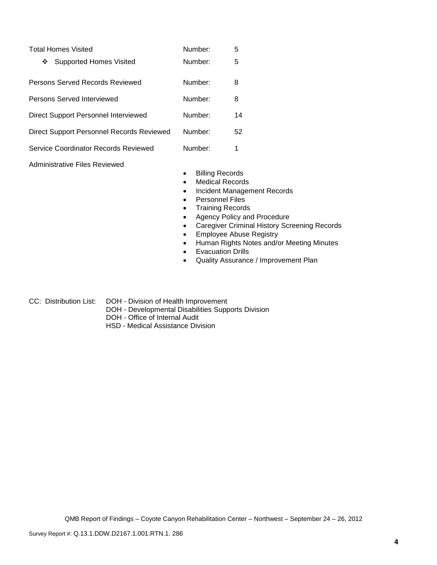| <b>Total Homes Visited</b>                | Number: | 5  |
|-------------------------------------------|---------|----|
| Supported Homes Visited<br>❖              | Number: | 5  |
| Persons Served Records Reviewed           | Number: | 8  |
| Persons Served Interviewed                | Number: | 8  |
| Direct Support Personnel Interviewed      | Number: | 14 |
| Direct Support Personnel Records Reviewed | Number: | 52 |
| Service Coordinator Records Reviewed      | Number: | 1  |

Administrative Files Reviewed

- **•** Billing Records
- Medical Records
- Incident Management Records
- **•** Personnel Files
- Training Records
- Agency Policy and Procedure
- Caregiver Criminal History Screening Records
- **•** Employee Abuse Registry
- Human Rights Notes and/or Meeting Minutes
- Evacuation Drills
- Quality Assurance / Improvement Plan
- CC: Distribution List: DOH Division of Health Improvement
	- DOH Developmental Disabilities Supports Division
	- DOH Office of Internal Audit
	- HSD Medical Assistance Division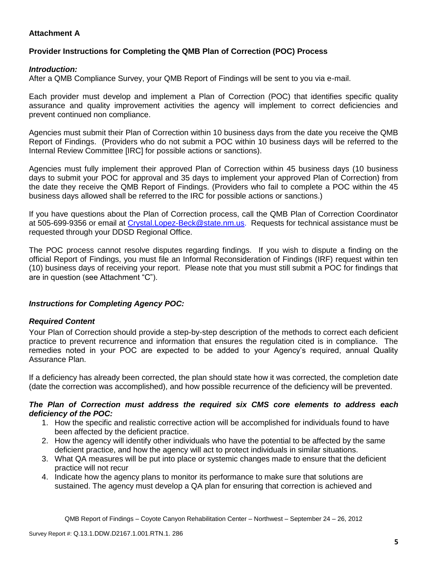# **Attachment A**

# **Provider Instructions for Completing the QMB Plan of Correction (POC) Process**

### *Introduction:*

After a QMB Compliance Survey, your QMB Report of Findings will be sent to you via e-mail.

Each provider must develop and implement a Plan of Correction (POC) that identifies specific quality assurance and quality improvement activities the agency will implement to correct deficiencies and prevent continued non compliance.

Agencies must submit their Plan of Correction within 10 business days from the date you receive the QMB Report of Findings. (Providers who do not submit a POC within 10 business days will be referred to the Internal Review Committee [IRC] for possible actions or sanctions).

Agencies must fully implement their approved Plan of Correction within 45 business days (10 business days to submit your POC for approval and 35 days to implement your approved Plan of Correction) from the date they receive the QMB Report of Findings. (Providers who fail to complete a POC within the 45 business days allowed shall be referred to the IRC for possible actions or sanctions.)

If you have questions about the Plan of Correction process, call the QMB Plan of Correction Coordinator at 505-699-9356 or email at Crystal.Lopez-Beck@state.nm.us. Requests for technical assistance must be requested through your DDSD Regional Office.

The POC process cannot resolve disputes regarding findings. If you wish to dispute a finding on the official Report of Findings, you must file an Informal Reconsideration of Findings (IRF) request within ten (10) business days of receiving your report. Please note that you must still submit a POC for findings that are in question (see Attachment "C").

## *Instructions for Completing Agency POC:*

## *Required Content*

Your Plan of Correction should provide a step-by-step description of the methods to correct each deficient practice to prevent recurrence and information that ensures the regulation cited is in compliance. The remedies noted in your POC are expected to be added to your Agency's required, annual Quality Assurance Plan.

If a deficiency has already been corrected, the plan should state how it was corrected, the completion date (date the correction was accomplished), and how possible recurrence of the deficiency will be prevented.

### *The Plan of Correction must address the required six CMS core elements to address each deficiency of the POC:*

- 1. How the specific and realistic corrective action will be accomplished for individuals found to have been affected by the deficient practice.
- 2. How the agency will identify other individuals who have the potential to be affected by the same deficient practice, and how the agency will act to protect individuals in similar situations.
- 3. What QA measures will be put into place or systemic changes made to ensure that the deficient practice will not recur
- 4. Indicate how the agency plans to monitor its performance to make sure that solutions are sustained. The agency must develop a QA plan for ensuring that correction is achieved and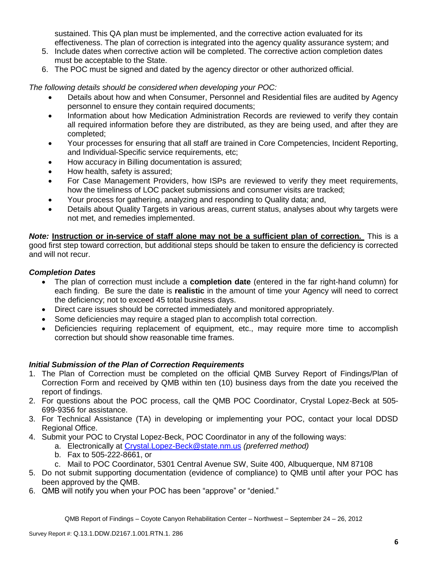sustained. This QA plan must be implemented, and the corrective action evaluated for its effectiveness. The plan of correction is integrated into the agency quality assurance system; and

- 5. Include dates when corrective action will be completed. The corrective action completion dates must be acceptable to the State.
- 6. The POC must be signed and dated by the agency director or other authorized official.

*The following details should be considered when developing your POC:*

- Details about how and when Consumer, Personnel and Residential files are audited by Agency personnel to ensure they contain required documents;
- Information about how Medication Administration Records are reviewed to verify they contain all required information before they are distributed, as they are being used, and after they are completed;
- Your processes for ensuring that all staff are trained in Core Competencies, Incident Reporting, and Individual-Specific service requirements, etc;
- How accuracy in Billing documentation is assured;
- How health, safety is assured;
- For Case Management Providers, how ISPs are reviewed to verify they meet requirements, how the timeliness of LOC packet submissions and consumer visits are tracked;
- Your process for gathering, analyzing and responding to Quality data; and,
- Details about Quality Targets in various areas, current status, analyses about why targets were not met, and remedies implemented.

*Note:* **Instruction or in-service of staff alone may not be a sufficient plan of correction.** This is a good first step toward correction, but additional steps should be taken to ensure the deficiency is corrected and will not recur.

## *Completion Dates*

- The plan of correction must include a **completion date** (entered in the far right-hand column) for each finding. Be sure the date is **realistic** in the amount of time your Agency will need to correct the deficiency; not to exceed 45 total business days.
- Direct care issues should be corrected immediately and monitored appropriately.
- Some deficiencies may require a staged plan to accomplish total correction.
- Deficiencies requiring replacement of equipment, etc., may require more time to accomplish correction but should show reasonable time frames.

# *Initial Submission of the Plan of Correction Requirements*

- 1. The Plan of Correction must be completed on the official QMB Survey Report of Findings/Plan of Correction Form and received by QMB within ten (10) business days from the date you received the report of findings.
- 2. For questions about the POC process, call the QMB POC Coordinator, Crystal Lopez-Beck at 505- 699-9356 for assistance.
- 3. For Technical Assistance (TA) in developing or implementing your POC, contact your local DDSD Regional Office.
- 4. Submit your POC to Crystal Lopez-Beck, POC Coordinator in any of the following ways:
	- a. Electronically at Crystal.Lopez-Beck@state.nm.us *(preferred method)*
	- b. Fax to 505-222-8661, or
	- c. Mail to POC Coordinator, 5301 Central Avenue SW, Suite 400, Albuquerque, NM 87108
- 5. Do not submit supporting documentation (evidence of compliance) to QMB until after your POC has been approved by the QMB.
- 6. QMB will notify you when your POC has been "approve" or "denied."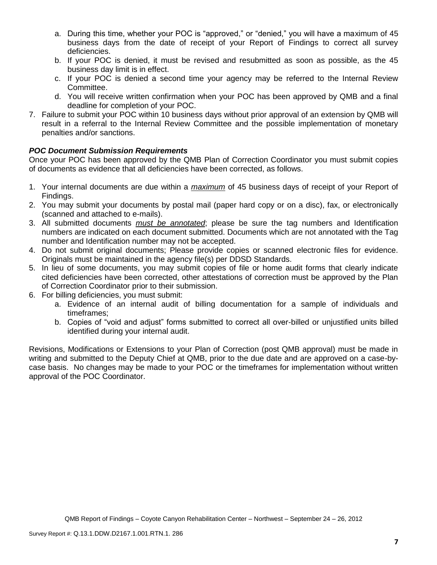- a. During this time, whether your POC is "approved," or "denied," you will have a maximum of 45 business days from the date of receipt of your Report of Findings to correct all survey deficiencies.
- b. If your POC is denied, it must be revised and resubmitted as soon as possible, as the 45 business day limit is in effect.
- c. If your POC is denied a second time your agency may be referred to the Internal Review Committee.
- d. You will receive written confirmation when your POC has been approved by QMB and a final deadline for completion of your POC.
- 7. Failure to submit your POC within 10 business days without prior approval of an extension by QMB will result in a referral to the Internal Review Committee and the possible implementation of monetary penalties and/or sanctions.

# *POC Document Submission Requirements*

Once your POC has been approved by the QMB Plan of Correction Coordinator you must submit copies of documents as evidence that all deficiencies have been corrected, as follows.

- 1. Your internal documents are due within a *maximum* of 45 business days of receipt of your Report of Findings.
- 2. You may submit your documents by postal mail (paper hard copy or on a disc), fax, or electronically (scanned and attached to e-mails).
- 3. All submitted documents *must be annotated*; please be sure the tag numbers and Identification numbers are indicated on each document submitted. Documents which are not annotated with the Tag number and Identification number may not be accepted.
- 4. Do not submit original documents; Please provide copies or scanned electronic files for evidence. Originals must be maintained in the agency file(s) per DDSD Standards.
- 5. In lieu of some documents, you may submit copies of file or home audit forms that clearly indicate cited deficiencies have been corrected, other attestations of correction must be approved by the Plan of Correction Coordinator prior to their submission.
- 6. For billing deficiencies, you must submit:
	- a. Evidence of an internal audit of billing documentation for a sample of individuals and timeframes;
	- b. Copies of "void and adjust" forms submitted to correct all over-billed or unjustified units billed identified during your internal audit.

Revisions, Modifications or Extensions to your Plan of Correction (post QMB approval) must be made in writing and submitted to the Deputy Chief at QMB, prior to the due date and are approved on a case-bycase basis. No changes may be made to your POC or the timeframes for implementation without written approval of the POC Coordinator.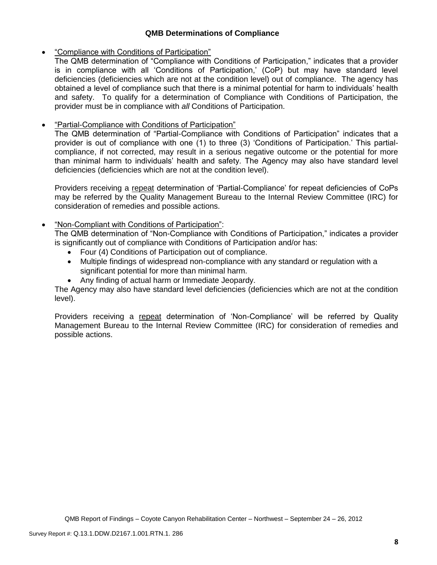## **QMB Determinations of Compliance**

## "Compliance with Conditions of Participation"

The QMB determination of "Compliance with Conditions of Participation," indicates that a provider is in compliance with all 'Conditions of Participation,' (CoP) but may have standard level deficiencies (deficiencies which are not at the condition level) out of compliance. The agency has obtained a level of compliance such that there is a minimal potential for harm to individuals' health and safety. To qualify for a determination of Compliance with Conditions of Participation, the provider must be in compliance with *all* Conditions of Participation.

# "Partial-Compliance with Conditions of Participation"

The QMB determination of "Partial-Compliance with Conditions of Participation" indicates that a provider is out of compliance with one (1) to three (3) 'Conditions of Participation.' This partialcompliance, if not corrected, may result in a serious negative outcome or the potential for more than minimal harm to individuals' health and safety. The Agency may also have standard level deficiencies (deficiencies which are not at the condition level).

Providers receiving a repeat determination of 'Partial-Compliance' for repeat deficiencies of CoPs may be referred by the Quality Management Bureau to the Internal Review Committee (IRC) for consideration of remedies and possible actions.

# "Non-Compliant with Conditions of Participation":

The QMB determination of "Non-Compliance with Conditions of Participation," indicates a provider is significantly out of compliance with Conditions of Participation and/or has:

- Four (4) Conditions of Participation out of compliance.
- Multiple findings of widespread non-compliance with any standard or regulation with a significant potential for more than minimal harm.
- Any finding of actual harm or Immediate Jeopardy.

The Agency may also have standard level deficiencies (deficiencies which are not at the condition level).

Providers receiving a repeat determination of 'Non-Compliance' will be referred by Quality Management Bureau to the Internal Review Committee (IRC) for consideration of remedies and possible actions.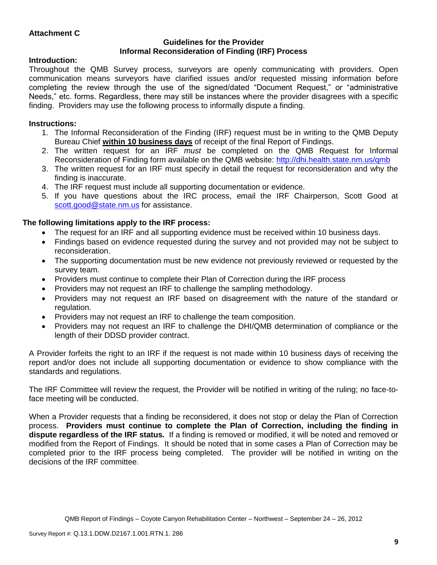## **Attachment C**

### **Guidelines for the Provider Informal Reconsideration of Finding (IRF) Process**

## **Introduction:**

Throughout the QMB Survey process, surveyors are openly communicating with providers. Open communication means surveyors have clarified issues and/or requested missing information before completing the review through the use of the signed/dated "Document Request," or "administrative Needs," etc. forms. Regardless, there may still be instances where the provider disagrees with a specific finding. Providers may use the following process to informally dispute a finding.

## **Instructions:**

- 1. The Informal Reconsideration of the Finding (IRF) request must be in writing to the QMB Deputy Bureau Chief **within 10 business days** of receipt of the final Report of Findings.
- 2. The written request for an IRF *must* be completed on the QMB Request for Informal Reconsideration of Finding form available on the QMB website:<http://dhi.health.state.nm.us/qmb>
- 3. The written request for an IRF must specify in detail the request for reconsideration and why the finding is inaccurate.
- 4. The IRF request must include all supporting documentation or evidence.
- 5. If you have questions about the IRC process, email the IRF Chairperson, Scott Good at [scott.good@state.nm.us](mailto:scott.good@state.nm.us) for assistance.

### **The following limitations apply to the IRF process:**

- The request for an IRF and all supporting evidence must be received within 10 business days.
- Findings based on evidence requested during the survey and not provided may not be subject to reconsideration.
- The supporting documentation must be new evidence not previously reviewed or requested by the survey team.
- Providers must continue to complete their Plan of Correction during the IRF process
- Providers may not request an IRF to challenge the sampling methodology.
- Providers may not request an IRF based on disagreement with the nature of the standard or regulation.
- Providers may not request an IRF to challenge the team composition.
- Providers may not request an IRF to challenge the DHI/QMB determination of compliance or the length of their DDSD provider contract.

A Provider forfeits the right to an IRF if the request is not made within 10 business days of receiving the report and/or does not include all supporting documentation or evidence to show compliance with the standards and regulations.

The IRF Committee will review the request, the Provider will be notified in writing of the ruling; no face-toface meeting will be conducted.

When a Provider requests that a finding be reconsidered, it does not stop or delay the Plan of Correction process. **Providers must continue to complete the Plan of Correction, including the finding in dispute regardless of the IRF status.** If a finding is removed or modified, it will be noted and removed or modified from the Report of Findings. It should be noted that in some cases a Plan of Correction may be completed prior to the IRF process being completed. The provider will be notified in writing on the decisions of the IRF committee.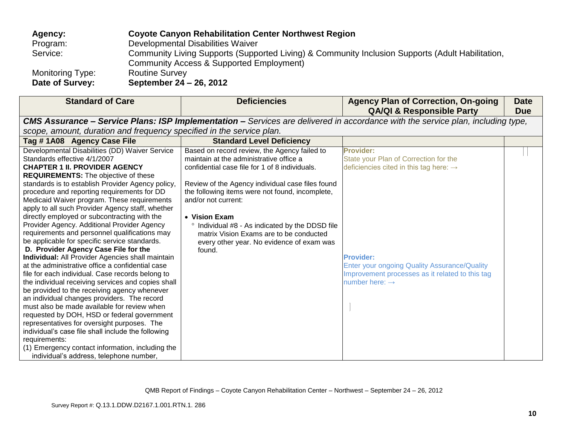| Agency:                 | <b>Coyote Canyon Rehabilitation Center Northwest Region</b>                                      |
|-------------------------|--------------------------------------------------------------------------------------------------|
| Program:                | Developmental Disabilities Waiver                                                                |
| Service:                | Community Living Supports (Supported Living) & Community Inclusion Supports (Adult Habilitation, |
|                         | Community Access & Supported Employment)                                                         |
| <b>Monitoring Type:</b> | <b>Routine Survey</b>                                                                            |
| Date of Survey:         | September 24 – 26, 2012                                                                          |

| <b>Standard of Care</b>                                                                                                                                                                                                                                                                                                                                                                                                                                                                                                                                                                                                                                                                                                                                                                                                                                                                                                                                                                                                                                                                                                                                                                                                                                          | <b>Deficiencies</b>                                                                                                                                                                                                                                                                                                                                                                                                                                      | <b>Agency Plan of Correction, On-going</b><br><b>QA/QI &amp; Responsible Party</b>                                                                                                                                                                                          | <b>Date</b><br><b>Due</b> |  |  |
|------------------------------------------------------------------------------------------------------------------------------------------------------------------------------------------------------------------------------------------------------------------------------------------------------------------------------------------------------------------------------------------------------------------------------------------------------------------------------------------------------------------------------------------------------------------------------------------------------------------------------------------------------------------------------------------------------------------------------------------------------------------------------------------------------------------------------------------------------------------------------------------------------------------------------------------------------------------------------------------------------------------------------------------------------------------------------------------------------------------------------------------------------------------------------------------------------------------------------------------------------------------|----------------------------------------------------------------------------------------------------------------------------------------------------------------------------------------------------------------------------------------------------------------------------------------------------------------------------------------------------------------------------------------------------------------------------------------------------------|-----------------------------------------------------------------------------------------------------------------------------------------------------------------------------------------------------------------------------------------------------------------------------|---------------------------|--|--|
| <b>CMS Assurance – Service Plans: ISP Implementation –</b> Services are delivered in accordance with the service plan, including type,                                                                                                                                                                                                                                                                                                                                                                                                                                                                                                                                                                                                                                                                                                                                                                                                                                                                                                                                                                                                                                                                                                                           |                                                                                                                                                                                                                                                                                                                                                                                                                                                          |                                                                                                                                                                                                                                                                             |                           |  |  |
| scope, amount, duration and frequency specified in the service plan.                                                                                                                                                                                                                                                                                                                                                                                                                                                                                                                                                                                                                                                                                                                                                                                                                                                                                                                                                                                                                                                                                                                                                                                             |                                                                                                                                                                                                                                                                                                                                                                                                                                                          |                                                                                                                                                                                                                                                                             |                           |  |  |
| Tag #1A08 Agency Case File                                                                                                                                                                                                                                                                                                                                                                                                                                                                                                                                                                                                                                                                                                                                                                                                                                                                                                                                                                                                                                                                                                                                                                                                                                       | <b>Standard Level Deficiency</b>                                                                                                                                                                                                                                                                                                                                                                                                                         |                                                                                                                                                                                                                                                                             |                           |  |  |
| Developmental Disabilities (DD) Waiver Service<br>Standards effective 4/1/2007<br><b>CHAPTER 1 II. PROVIDER AGENCY</b><br><b>REQUIREMENTS:</b> The objective of these<br>standards is to establish Provider Agency policy,<br>procedure and reporting requirements for DD<br>Medicaid Waiver program. These requirements<br>apply to all such Provider Agency staff, whether<br>directly employed or subcontracting with the<br>Provider Agency. Additional Provider Agency<br>requirements and personnel qualifications may<br>be applicable for specific service standards.<br>D. Provider Agency Case File for the<br><b>Individual:</b> All Provider Agencies shall maintain<br>at the administrative office a confidential case<br>file for each individual. Case records belong to<br>the individual receiving services and copies shall<br>be provided to the receiving agency whenever<br>an individual changes providers. The record<br>must also be made available for review when<br>requested by DOH, HSD or federal government<br>representatives for oversight purposes. The<br>individual's case file shall include the following<br>requirements:<br>(1) Emergency contact information, including the<br>individual's address, telephone number, | Based on record review, the Agency failed to<br>maintain at the administrative office a<br>confidential case file for 1 of 8 individuals.<br>Review of the Agency individual case files found<br>the following items were not found, incomplete,<br>and/or not current:<br>• Vision Exam<br><sup>o</sup> Individual #8 - As indicated by the DDSD file<br>matrix Vision Exams are to be conducted<br>every other year. No evidence of exam was<br>found. | <b>Provider:</b><br>State your Plan of Correction for the<br>deficiencies cited in this tag here: $\rightarrow$<br><b>Provider:</b><br><b>Enter your ongoing Quality Assurance/Quality</b><br>Improvement processes as it related to this tag<br>number here: $\rightarrow$ |                           |  |  |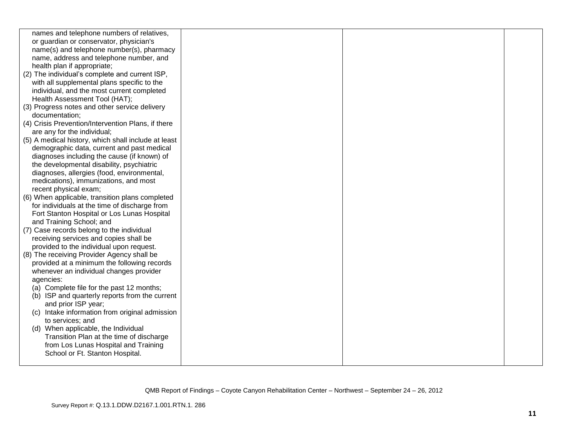| names and telephone numbers of relatives,           |  |  |
|-----------------------------------------------------|--|--|
| or guardian or conservator, physician's             |  |  |
| name(s) and telephone number(s), pharmacy           |  |  |
|                                                     |  |  |
| name, address and telephone number, and             |  |  |
| health plan if appropriate;                         |  |  |
| (2) The individual's complete and current ISP,      |  |  |
| with all supplemental plans specific to the         |  |  |
| individual, and the most current completed          |  |  |
| Health Assessment Tool (HAT);                       |  |  |
| (3) Progress notes and other service delivery       |  |  |
| documentation;                                      |  |  |
| (4) Crisis Prevention/Intervention Plans, if there  |  |  |
| are any for the individual;                         |  |  |
| (5) A medical history, which shall include at least |  |  |
| demographic data, current and past medical          |  |  |
| diagnoses including the cause (if known) of         |  |  |
| the developmental disability, psychiatric           |  |  |
| diagnoses, allergies (food, environmental,          |  |  |
| medications), immunizations, and most               |  |  |
|                                                     |  |  |
| recent physical exam;                               |  |  |
| (6) When applicable, transition plans completed     |  |  |
| for individuals at the time of discharge from       |  |  |
| Fort Stanton Hospital or Los Lunas Hospital         |  |  |
| and Training School; and                            |  |  |
| (7) Case records belong to the individual           |  |  |
| receiving services and copies shall be              |  |  |
| provided to the individual upon request.            |  |  |
| (8) The receiving Provider Agency shall be          |  |  |
| provided at a minimum the following records         |  |  |
| whenever an individual changes provider             |  |  |
| agencies:                                           |  |  |
| (a) Complete file for the past 12 months;           |  |  |
| (b) ISP and quarterly reports from the current      |  |  |
| and prior ISP year;                                 |  |  |
| (c) Intake information from original admission      |  |  |
| to services; and                                    |  |  |
| (d) When applicable, the Individual                 |  |  |
| Transition Plan at the time of discharge            |  |  |
| from Los Lunas Hospital and Training                |  |  |
| School or Ft. Stanton Hospital.                     |  |  |
|                                                     |  |  |
|                                                     |  |  |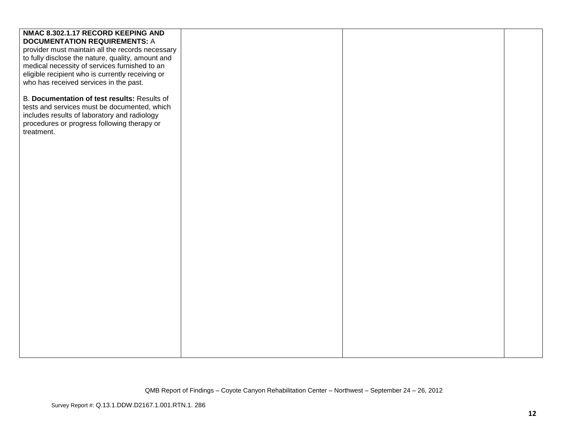| NMAC 8.302.1.17 RECORD KEEPING AND                |  |  |
|---------------------------------------------------|--|--|
| <b>DOCUMENTATION REQUIREMENTS: A</b>              |  |  |
| provider must maintain all the records necessary  |  |  |
| to fully disclose the nature, quality, amount and |  |  |
| medical necessity of services furnished to an     |  |  |
| eligible recipient who is currently receiving or  |  |  |
| who has received services in the past.            |  |  |
|                                                   |  |  |
| B. Documentation of test results: Results of      |  |  |
| tests and services must be documented, which      |  |  |
| includes results of laboratory and radiology      |  |  |
| procedures or progress following therapy or       |  |  |
| treatment.                                        |  |  |
|                                                   |  |  |
|                                                   |  |  |
|                                                   |  |  |
|                                                   |  |  |
|                                                   |  |  |
|                                                   |  |  |
|                                                   |  |  |
|                                                   |  |  |
|                                                   |  |  |
|                                                   |  |  |
|                                                   |  |  |
|                                                   |  |  |
|                                                   |  |  |
|                                                   |  |  |
|                                                   |  |  |
|                                                   |  |  |
|                                                   |  |  |
|                                                   |  |  |
|                                                   |  |  |
|                                                   |  |  |
|                                                   |  |  |
|                                                   |  |  |
|                                                   |  |  |
|                                                   |  |  |
|                                                   |  |  |
|                                                   |  |  |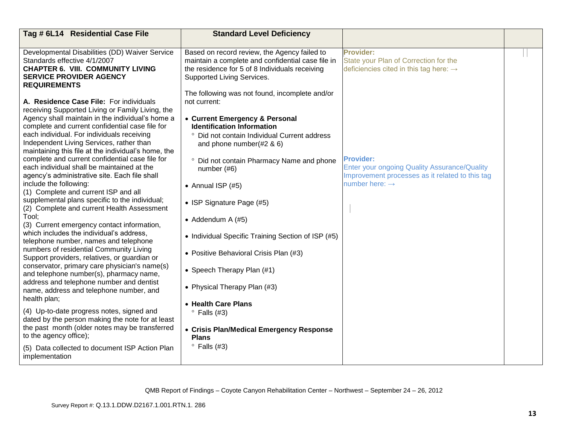| Provider:<br>Developmental Disabilities (DD) Waiver Service<br>Based on record review, the Agency failed to<br>Standards effective 4/1/2007<br>maintain a complete and confidential case file in<br><b>CHAPTER 6. VIII. COMMUNITY LIVING</b><br>the residence for 5 of 8 Individuals receiving<br><b>SERVICE PROVIDER AGENCY</b><br>Supported Living Services.<br><b>REQUIREMENTS</b><br>The following was not found, incomplete and/or                                                                                                                                                                                                                                                                                                                                                                                                                                                                                                                                                                                                                                                                                                                                                                                                                                                                                                                                                                                                                                                                                                                                                                                                                                                                                                                                                                                                                                                                                                                                  | State your Plan of Correction for the<br>deficiencies cited in this tag here: $\rightarrow$     |
|--------------------------------------------------------------------------------------------------------------------------------------------------------------------------------------------------------------------------------------------------------------------------------------------------------------------------------------------------------------------------------------------------------------------------------------------------------------------------------------------------------------------------------------------------------------------------------------------------------------------------------------------------------------------------------------------------------------------------------------------------------------------------------------------------------------------------------------------------------------------------------------------------------------------------------------------------------------------------------------------------------------------------------------------------------------------------------------------------------------------------------------------------------------------------------------------------------------------------------------------------------------------------------------------------------------------------------------------------------------------------------------------------------------------------------------------------------------------------------------------------------------------------------------------------------------------------------------------------------------------------------------------------------------------------------------------------------------------------------------------------------------------------------------------------------------------------------------------------------------------------------------------------------------------------------------------------------------------------|-------------------------------------------------------------------------------------------------|
| A. Residence Case File: For individuals<br>not current:                                                                                                                                                                                                                                                                                                                                                                                                                                                                                                                                                                                                                                                                                                                                                                                                                                                                                                                                                                                                                                                                                                                                                                                                                                                                                                                                                                                                                                                                                                                                                                                                                                                                                                                                                                                                                                                                                                                  |                                                                                                 |
| receiving Supported Living or Family Living, the<br>Agency shall maintain in the individual's home a<br>• Current Emergency & Personal<br>complete and current confidential case file for<br><b>Identification Information</b><br>each individual. For individuals receiving<br>° Did not contain Individual Current address<br>Independent Living Services, rather than<br>and phone number $(#2 \& 6)$<br>maintaining this file at the individual's home, the<br>complete and current confidential case file for<br><b>Provider:</b><br>° Did not contain Pharmacy Name and phone<br>each individual shall be maintained at the<br>number (#6)<br>agency's administrative site. Each file shall<br>number here: $\rightarrow$<br>include the following:<br>• Annual ISP $(#5)$<br>(1) Complete and current ISP and all<br>supplemental plans specific to the individual;<br>• ISP Signature Page (#5)<br>(2) Complete and current Health Assessment<br>Tool;<br>• Addendum A $(#5)$<br>(3) Current emergency contact information,<br>which includes the individual's address,<br>• Individual Specific Training Section of ISP (#5)<br>telephone number, names and telephone<br>numbers of residential Community Living<br>• Positive Behavioral Crisis Plan (#3)<br>Support providers, relatives, or guardian or<br>conservator, primary care physician's name(s)<br>• Speech Therapy Plan (#1)<br>and telephone number(s), pharmacy name,<br>address and telephone number and dentist<br>• Physical Therapy Plan (#3)<br>name, address and telephone number, and<br>health plan;<br>• Health Care Plans<br>(4) Up-to-date progress notes, signed and<br>$\degree$ Falls (#3)<br>dated by the person making the note for at least<br>the past month (older notes may be transferred<br>• Crisis Plan/Medical Emergency Response<br>to the agency office);<br><b>Plans</b><br>$\degree$ Falls (#3)<br>(5) Data collected to document ISP Action Plan<br>implementation | Enter your ongoing Quality Assurance/Quality<br>Improvement processes as it related to this tag |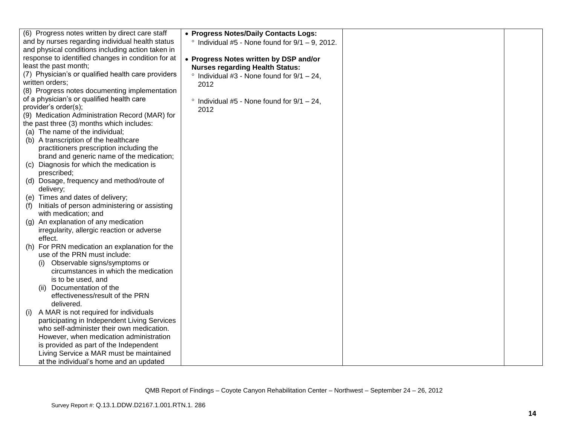|                                                    | (6) Progress notes written by direct care staff                 | • Progress Notes/Daily Contacts Logs:                      |  |
|----------------------------------------------------|-----------------------------------------------------------------|------------------------------------------------------------|--|
| and by nurses regarding individual health status   |                                                                 | $\degree$ Individual #5 - None found for $9/1 - 9$ , 2012. |  |
| and physical conditions including action taken in  |                                                                 |                                                            |  |
| response to identified changes in condition for at |                                                                 | • Progress Notes written by DSP and/or                     |  |
|                                                    | least the past month;                                           | <b>Nurses regarding Health Status:</b>                     |  |
|                                                    | (7) Physician's or qualified health care providers              | $\degree$ Individual #3 - None found for 9/1 - 24,         |  |
|                                                    | written orders;                                                 | 2012                                                       |  |
|                                                    | (8) Progress notes documenting implementation                   |                                                            |  |
|                                                    | of a physician's or qualified health care                       | Individual #5 - None found for $9/1 - 24$ ,<br>$\circ$     |  |
|                                                    | provider's order(s);                                            | 2012                                                       |  |
|                                                    | (9) Medication Administration Record (MAR) for                  |                                                            |  |
|                                                    | the past three (3) months which includes:                       |                                                            |  |
|                                                    | (a) The name of the individual;                                 |                                                            |  |
|                                                    | (b) A transcription of the healthcare                           |                                                            |  |
|                                                    | practitioners prescription including the                        |                                                            |  |
|                                                    | brand and generic name of the medication;                       |                                                            |  |
|                                                    | (c) Diagnosis for which the medication is                       |                                                            |  |
|                                                    | prescribed;                                                     |                                                            |  |
|                                                    | (d) Dosage, frequency and method/route of                       |                                                            |  |
|                                                    | delivery;                                                       |                                                            |  |
|                                                    | (e) Times and dates of delivery;                                |                                                            |  |
| (f)                                                | Initials of person administering or assisting                   |                                                            |  |
|                                                    | with medication; and                                            |                                                            |  |
|                                                    | (g) An explanation of any medication                            |                                                            |  |
|                                                    | irregularity, allergic reaction or adverse                      |                                                            |  |
|                                                    | effect.                                                         |                                                            |  |
|                                                    | (h) For PRN medication an explanation for the                   |                                                            |  |
|                                                    | use of the PRN must include:                                    |                                                            |  |
|                                                    | Observable signs/symptoms or                                    |                                                            |  |
|                                                    | circumstances in which the medication                           |                                                            |  |
|                                                    | is to be used, and                                              |                                                            |  |
|                                                    | Documentation of the<br>(11)<br>effectiveness/result of the PRN |                                                            |  |
|                                                    | delivered.                                                      |                                                            |  |
| (i)                                                | A MAR is not required for individuals                           |                                                            |  |
|                                                    | participating in Independent Living Services                    |                                                            |  |
|                                                    | who self-administer their own medication.                       |                                                            |  |
|                                                    | However, when medication administration                         |                                                            |  |
|                                                    | is provided as part of the Independent                          |                                                            |  |
|                                                    | Living Service a MAR must be maintained                         |                                                            |  |
|                                                    | at the individual's home and an updated                         |                                                            |  |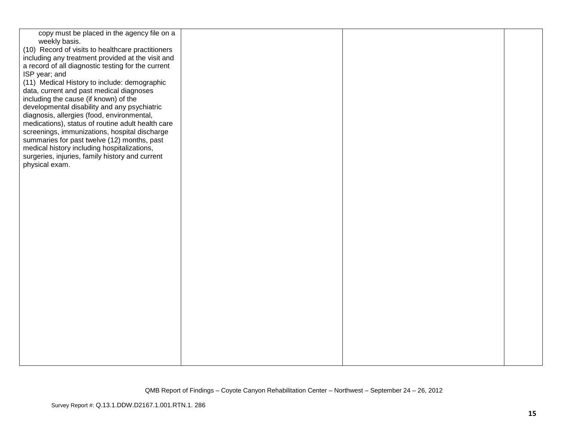| copy must be placed in the agency file on a<br>weekly basis.<br>(10) Record of visits to healthcare practitioners<br>including any treatment provided at the visit and<br>a record of all diagnostic testing for the current<br>ISP year; and<br>(11) Medical History to include: demographic<br>data, current and past medical diagnoses<br>including the cause (if known) of the |  |  |
|------------------------------------------------------------------------------------------------------------------------------------------------------------------------------------------------------------------------------------------------------------------------------------------------------------------------------------------------------------------------------------|--|--|
| developmental disability and any psychiatric<br>diagnosis, allergies (food, environmental,<br>medications), status of routine adult health care<br>screenings, immunizations, hospital discharge<br>summaries for past twelve (12) months, past<br>medical history including hospitalizations,<br>surgeries, injuries, family history and current<br>physical exam.                |  |  |
|                                                                                                                                                                                                                                                                                                                                                                                    |  |  |
|                                                                                                                                                                                                                                                                                                                                                                                    |  |  |
|                                                                                                                                                                                                                                                                                                                                                                                    |  |  |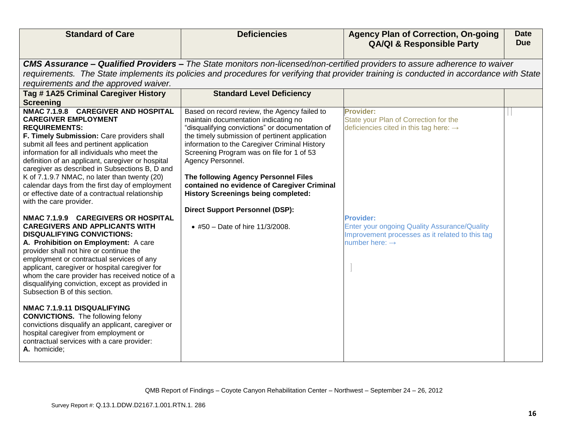| <b>Standard of Care</b>                                                                                                                                                                                                                                                                                                                                                                                                                                                                                                                                                                                                                                                                                                                                                                                                                                                                                                                                                                                                                                                                                                                                                                                           | <b>Deficiencies</b>                                                                                                                                                                                                                                                                                                                                                                                                                                                                                                            | <b>Agency Plan of Correction, On-going</b><br><b>QA/QI &amp; Responsible Party</b>                                                                                                                                                                                   | <b>Date</b><br><b>Due</b> |  |  |
|-------------------------------------------------------------------------------------------------------------------------------------------------------------------------------------------------------------------------------------------------------------------------------------------------------------------------------------------------------------------------------------------------------------------------------------------------------------------------------------------------------------------------------------------------------------------------------------------------------------------------------------------------------------------------------------------------------------------------------------------------------------------------------------------------------------------------------------------------------------------------------------------------------------------------------------------------------------------------------------------------------------------------------------------------------------------------------------------------------------------------------------------------------------------------------------------------------------------|--------------------------------------------------------------------------------------------------------------------------------------------------------------------------------------------------------------------------------------------------------------------------------------------------------------------------------------------------------------------------------------------------------------------------------------------------------------------------------------------------------------------------------|----------------------------------------------------------------------------------------------------------------------------------------------------------------------------------------------------------------------------------------------------------------------|---------------------------|--|--|
| CMS Assurance - Qualified Providers - The State monitors non-licensed/non-certified providers to assure adherence to waiver<br>requirements. The State implements its policies and procedures for verifying that provider training is conducted in accordance with State<br>requirements and the approved waiver.                                                                                                                                                                                                                                                                                                                                                                                                                                                                                                                                                                                                                                                                                                                                                                                                                                                                                                 |                                                                                                                                                                                                                                                                                                                                                                                                                                                                                                                                |                                                                                                                                                                                                                                                                      |                           |  |  |
| Tag # 1A25 Criminal Caregiver History<br><b>Screening</b>                                                                                                                                                                                                                                                                                                                                                                                                                                                                                                                                                                                                                                                                                                                                                                                                                                                                                                                                                                                                                                                                                                                                                         | <b>Standard Level Deficiency</b>                                                                                                                                                                                                                                                                                                                                                                                                                                                                                               |                                                                                                                                                                                                                                                                      |                           |  |  |
| NMAC 7.1.9.8 CAREGIVER AND HOSPITAL<br><b>CAREGIVER EMPLOYMENT</b><br><b>REQUIREMENTS:</b><br>F. Timely Submission: Care providers shall<br>submit all fees and pertinent application<br>information for all individuals who meet the<br>definition of an applicant, caregiver or hospital<br>caregiver as described in Subsections B, D and<br>K of 7.1.9.7 NMAC, no later than twenty (20)<br>calendar days from the first day of employment<br>or effective date of a contractual relationship<br>with the care provider.<br>NMAC 7.1.9.9 CAREGIVERS OR HOSPITAL<br><b>CAREGIVERS AND APPLICANTS WITH</b><br><b>DISQUALIFYING CONVICTIONS:</b><br>A. Prohibition on Employment: A care<br>provider shall not hire or continue the<br>employment or contractual services of any<br>applicant, caregiver or hospital caregiver for<br>whom the care provider has received notice of a<br>disqualifying conviction, except as provided in<br>Subsection B of this section.<br>NMAC 7.1.9.11 DISQUALIFYING<br><b>CONVICTIONS.</b> The following felony<br>convictions disqualify an applicant, caregiver or<br>hospital caregiver from employment or<br>contractual services with a care provider:<br>A. homicide; | Based on record review, the Agency failed to<br>maintain documentation indicating no<br>"disqualifying convictions" or documentation of<br>the timely submission of pertinent application<br>information to the Caregiver Criminal History<br>Screening Program was on file for 1 of 53<br>Agency Personnel.<br>The following Agency Personnel Files<br>contained no evidence of Caregiver Criminal<br><b>History Screenings being completed:</b><br><b>Direct Support Personnel (DSP):</b><br>• #50 - Date of hire 11/3/2008. | Provider:<br>State your Plan of Correction for the<br>deficiencies cited in this tag here: $\rightarrow$<br><b>Provider:</b><br><b>Enter your ongoing Quality Assurance/Quality</b><br>Improvement processes as it related to this tag<br>number here: $\rightarrow$ |                           |  |  |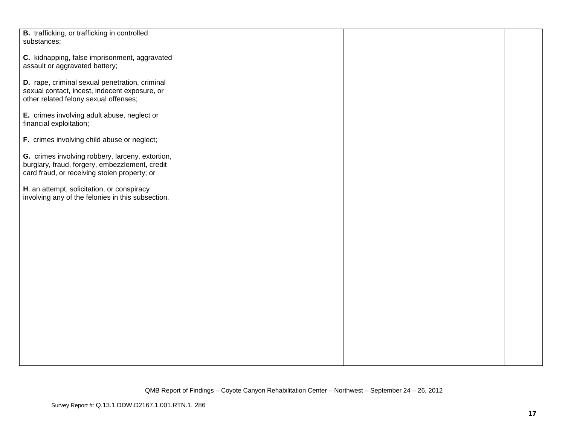| B. trafficking, or trafficking in controlled      |  |  |
|---------------------------------------------------|--|--|
| substances;                                       |  |  |
|                                                   |  |  |
|                                                   |  |  |
| C. kidnapping, false imprisonment, aggravated     |  |  |
|                                                   |  |  |
| assault or aggravated battery;                    |  |  |
|                                                   |  |  |
| D. rape, criminal sexual penetration, criminal    |  |  |
|                                                   |  |  |
| sexual contact, incest, indecent exposure, or     |  |  |
| other related felony sexual offenses;             |  |  |
|                                                   |  |  |
|                                                   |  |  |
| E. crimes involving adult abuse, neglect or       |  |  |
| financial exploitation;                           |  |  |
|                                                   |  |  |
|                                                   |  |  |
| F. crimes involving child abuse or neglect;       |  |  |
|                                                   |  |  |
|                                                   |  |  |
| G. crimes involving robbery, larceny, extortion,  |  |  |
| burglary, fraud, forgery, embezzlement, credit    |  |  |
|                                                   |  |  |
| card fraud, or receiving stolen property; or      |  |  |
|                                                   |  |  |
| H. an attempt, solicitation, or conspiracy        |  |  |
|                                                   |  |  |
| involving any of the felonies in this subsection. |  |  |
|                                                   |  |  |
|                                                   |  |  |
|                                                   |  |  |
|                                                   |  |  |
|                                                   |  |  |
|                                                   |  |  |
|                                                   |  |  |
|                                                   |  |  |
|                                                   |  |  |
|                                                   |  |  |
|                                                   |  |  |
|                                                   |  |  |
|                                                   |  |  |
|                                                   |  |  |
|                                                   |  |  |
|                                                   |  |  |
|                                                   |  |  |
|                                                   |  |  |
|                                                   |  |  |
|                                                   |  |  |
|                                                   |  |  |
|                                                   |  |  |
|                                                   |  |  |
|                                                   |  |  |
|                                                   |  |  |
|                                                   |  |  |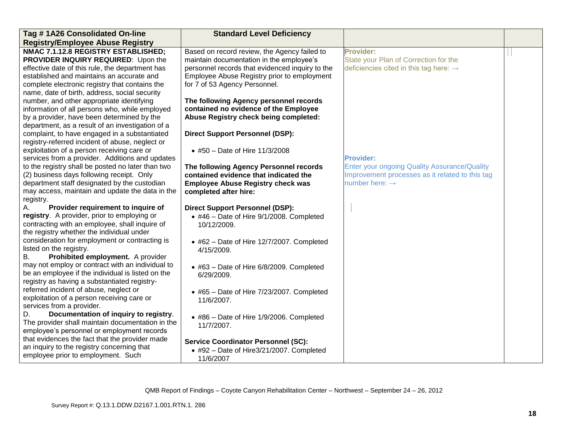| <b>Registry/Employee Abuse Registry</b><br>NMAC 7.1.12.8 REGISTRY ESTABLISHED;<br><b>Provider:</b>                                                                  | <b>Standard Level Deficiency</b><br>Tag #1A26 Consolidated On-line |  |
|---------------------------------------------------------------------------------------------------------------------------------------------------------------------|--------------------------------------------------------------------|--|
|                                                                                                                                                                     |                                                                    |  |
|                                                                                                                                                                     | Based on record review, the Agency failed to                       |  |
| PROVIDER INQUIRY REQUIRED: Upon the<br>maintain documentation in the employee's<br>State your Plan of Correction for the                                            |                                                                    |  |
| personnel records that evidenced inquiry to the<br>deficiencies cited in this tag here: $\rightarrow$<br>effective date of this rule, the department has            |                                                                    |  |
| established and maintains an accurate and<br>Employee Abuse Registry prior to employment                                                                            |                                                                    |  |
| complete electronic registry that contains the<br>for 7 of 53 Agency Personnel.                                                                                     |                                                                    |  |
| name, date of birth, address, social security                                                                                                                       |                                                                    |  |
| number, and other appropriate identifying<br>The following Agency personnel records                                                                                 |                                                                    |  |
| information of all persons who, while employed<br>contained no evidence of the Employee                                                                             |                                                                    |  |
| Abuse Registry check being completed:<br>by a provider, have been determined by the                                                                                 |                                                                    |  |
| department, as a result of an investigation of a                                                                                                                    |                                                                    |  |
| complaint, to have engaged in a substantiated<br><b>Direct Support Personnel (DSP):</b>                                                                             |                                                                    |  |
| registry-referred incident of abuse, neglect or                                                                                                                     |                                                                    |  |
| exploitation of a person receiving care or<br>• #50 - Date of Hire 11/3/2008                                                                                        |                                                                    |  |
| services from a provider. Additions and updates<br><b>Provider:</b>                                                                                                 |                                                                    |  |
| to the registry shall be posted no later than two<br><b>Enter your ongoing Quality Assurance/Quality</b><br>The following Agency Personnel records                  |                                                                    |  |
| (2) business days following receipt. Only<br>Improvement processes as it related to this tag<br>contained evidence that indicated the<br>number here: $\rightarrow$ |                                                                    |  |
| department staff designated by the custodian<br><b>Employee Abuse Registry check was</b><br>may access, maintain and update the data in the                         |                                                                    |  |
| completed after hire:                                                                                                                                               |                                                                    |  |
| registry.<br>Provider requirement to inquire of<br><b>Direct Support Personnel (DSP):</b><br>А.                                                                     |                                                                    |  |
| registry. A provider, prior to employing or<br>$\bullet$ #46 - Date of Hire 9/1/2008. Completed                                                                     |                                                                    |  |
| contracting with an employee, shall inquire of<br>10/12/2009.                                                                                                       |                                                                    |  |
| the registry whether the individual under                                                                                                                           |                                                                    |  |
| consideration for employment or contracting is<br>$\bullet$ #62 - Date of Hire 12/7/2007. Completed                                                                 |                                                                    |  |
| listed on the registry.<br>4/15/2009.                                                                                                                               |                                                                    |  |
| Prohibited employment. A provider<br>В.                                                                                                                             |                                                                    |  |
| may not employ or contract with an individual to<br>• #63 - Date of Hire 6/8/2009. Completed                                                                        |                                                                    |  |
| be an employee if the individual is listed on the<br>6/29/2009.                                                                                                     |                                                                    |  |
| registry as having a substantiated registry-                                                                                                                        |                                                                    |  |
| referred incident of abuse, neglect or<br>$\bullet$ #65 - Date of Hire 7/23/2007. Completed                                                                         |                                                                    |  |
| exploitation of a person receiving care or<br>11/6/2007.                                                                                                            |                                                                    |  |
| services from a provider.                                                                                                                                           |                                                                    |  |
| Documentation of inquiry to registry.<br>D.<br>• #86 - Date of Hire 1/9/2006. Completed                                                                             |                                                                    |  |
| The provider shall maintain documentation in the<br>11/7/2007.                                                                                                      |                                                                    |  |
| employee's personnel or employment records                                                                                                                          |                                                                    |  |
| that evidences the fact that the provider made<br><b>Service Coordinator Personnel (SC):</b>                                                                        |                                                                    |  |
| an inquiry to the registry concerning that<br>• #92 - Date of Hire3/21/2007. Completed                                                                              |                                                                    |  |
| employee prior to employment. Such<br>11/6/2007                                                                                                                     |                                                                    |  |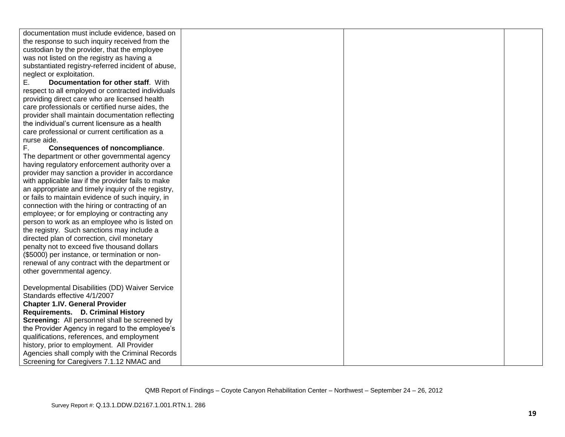| documentation must include evidence, based on      |  |  |
|----------------------------------------------------|--|--|
| the response to such inquiry received from the     |  |  |
| custodian by the provider, that the employee       |  |  |
| was not listed on the registry as having a         |  |  |
| substantiated registry-referred incident of abuse, |  |  |
| neglect or exploitation.                           |  |  |
| Documentation for other staff. With<br>Ε.          |  |  |
| respect to all employed or contracted individuals  |  |  |
| providing direct care who are licensed health      |  |  |
| care professionals or certified nurse aides, the   |  |  |
| provider shall maintain documentation reflecting   |  |  |
| the individual's current licensure as a health     |  |  |
| care professional or current certification as a    |  |  |
| nurse aide.                                        |  |  |
| F.<br><b>Consequences of noncompliance.</b>        |  |  |
| The department or other governmental agency        |  |  |
| having regulatory enforcement authority over a     |  |  |
| provider may sanction a provider in accordance     |  |  |
| with applicable law if the provider fails to make  |  |  |
| an appropriate and timely inquiry of the registry, |  |  |
| or fails to maintain evidence of such inquiry, in  |  |  |
| connection with the hiring or contracting of an    |  |  |
| employee; or for employing or contracting any      |  |  |
| person to work as an employee who is listed on     |  |  |
| the registry. Such sanctions may include a         |  |  |
| directed plan of correction, civil monetary        |  |  |
|                                                    |  |  |
| penalty not to exceed five thousand dollars        |  |  |
| (\$5000) per instance, or termination or non-      |  |  |
| renewal of any contract with the department or     |  |  |
| other governmental agency.                         |  |  |
|                                                    |  |  |
| Developmental Disabilities (DD) Waiver Service     |  |  |
| Standards effective 4/1/2007                       |  |  |
| <b>Chapter 1.IV. General Provider</b>              |  |  |
| Requirements. D. Criminal History                  |  |  |
| Screening: All personnel shall be screened by      |  |  |
| the Provider Agency in regard to the employee's    |  |  |
| qualifications, references, and employment         |  |  |
| history, prior to employment. All Provider         |  |  |
| Agencies shall comply with the Criminal Records    |  |  |
| Screening for Caregivers 7.1.12 NMAC and           |  |  |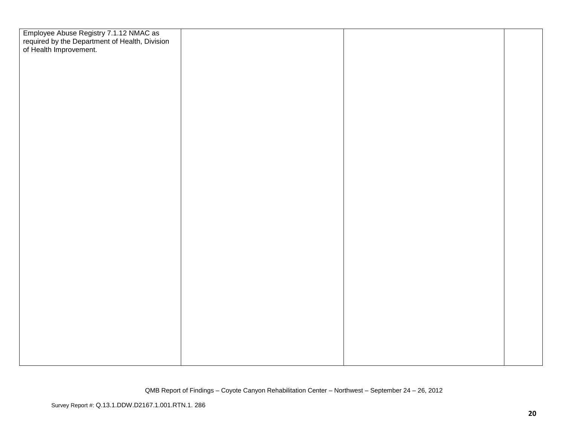| Employee Abuse Registry 7.1.12 NMAC as<br>required by the Department of Health, Division<br>of Health Improvement. |  |  |
|--------------------------------------------------------------------------------------------------------------------|--|--|
|                                                                                                                    |  |  |
|                                                                                                                    |  |  |
|                                                                                                                    |  |  |
|                                                                                                                    |  |  |
|                                                                                                                    |  |  |
|                                                                                                                    |  |  |
|                                                                                                                    |  |  |
|                                                                                                                    |  |  |
|                                                                                                                    |  |  |
|                                                                                                                    |  |  |
|                                                                                                                    |  |  |
|                                                                                                                    |  |  |
|                                                                                                                    |  |  |
|                                                                                                                    |  |  |
|                                                                                                                    |  |  |
|                                                                                                                    |  |  |
|                                                                                                                    |  |  |
|                                                                                                                    |  |  |
|                                                                                                                    |  |  |
|                                                                                                                    |  |  |
|                                                                                                                    |  |  |
|                                                                                                                    |  |  |
|                                                                                                                    |  |  |
|                                                                                                                    |  |  |
|                                                                                                                    |  |  |
|                                                                                                                    |  |  |
|                                                                                                                    |  |  |
|                                                                                                                    |  |  |
|                                                                                                                    |  |  |
|                                                                                                                    |  |  |
|                                                                                                                    |  |  |
|                                                                                                                    |  |  |
|                                                                                                                    |  |  |
|                                                                                                                    |  |  |
|                                                                                                                    |  |  |
|                                                                                                                    |  |  |
|                                                                                                                    |  |  |
|                                                                                                                    |  |  |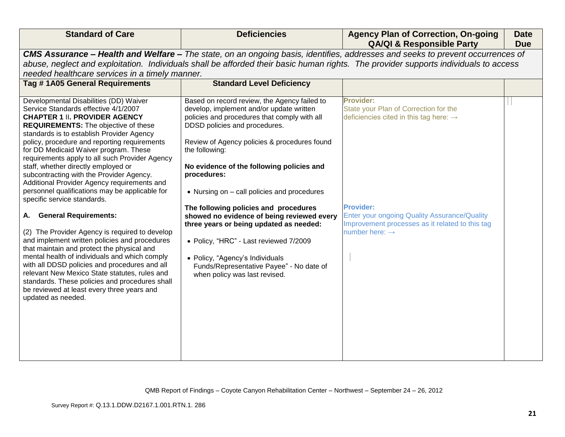| <b>Standard of Care</b>                                                                                                                                                                                                                                                                                                                                                                                                                                                                                                                                                                                                                                                                                                                                                                                                                                                                                                                                                                                                                | <b>Deficiencies</b>                                                                                                                                                                                                                                                                                                                                                                                                                                                                                                                                                                                                                                | <b>Agency Plan of Correction, On-going</b><br><b>QA/QI &amp; Responsible Party</b>                                                                                                                                                                                          | <b>Date</b><br><b>Due</b> |
|----------------------------------------------------------------------------------------------------------------------------------------------------------------------------------------------------------------------------------------------------------------------------------------------------------------------------------------------------------------------------------------------------------------------------------------------------------------------------------------------------------------------------------------------------------------------------------------------------------------------------------------------------------------------------------------------------------------------------------------------------------------------------------------------------------------------------------------------------------------------------------------------------------------------------------------------------------------------------------------------------------------------------------------|----------------------------------------------------------------------------------------------------------------------------------------------------------------------------------------------------------------------------------------------------------------------------------------------------------------------------------------------------------------------------------------------------------------------------------------------------------------------------------------------------------------------------------------------------------------------------------------------------------------------------------------------------|-----------------------------------------------------------------------------------------------------------------------------------------------------------------------------------------------------------------------------------------------------------------------------|---------------------------|
|                                                                                                                                                                                                                                                                                                                                                                                                                                                                                                                                                                                                                                                                                                                                                                                                                                                                                                                                                                                                                                        |                                                                                                                                                                                                                                                                                                                                                                                                                                                                                                                                                                                                                                                    | CMS Assurance - Health and Welfare - The state, on an ongoing basis, identifies, addresses and seeks to prevent occurrences of                                                                                                                                              |                           |
|                                                                                                                                                                                                                                                                                                                                                                                                                                                                                                                                                                                                                                                                                                                                                                                                                                                                                                                                                                                                                                        |                                                                                                                                                                                                                                                                                                                                                                                                                                                                                                                                                                                                                                                    | abuse, neglect and exploitation. Individuals shall be afforded their basic human rights. The provider supports individuals to access                                                                                                                                        |                           |
| needed healthcare services in a timely manner.                                                                                                                                                                                                                                                                                                                                                                                                                                                                                                                                                                                                                                                                                                                                                                                                                                                                                                                                                                                         |                                                                                                                                                                                                                                                                                                                                                                                                                                                                                                                                                                                                                                                    |                                                                                                                                                                                                                                                                             |                           |
| Tag #1A05 General Requirements                                                                                                                                                                                                                                                                                                                                                                                                                                                                                                                                                                                                                                                                                                                                                                                                                                                                                                                                                                                                         | <b>Standard Level Deficiency</b>                                                                                                                                                                                                                                                                                                                                                                                                                                                                                                                                                                                                                   |                                                                                                                                                                                                                                                                             |                           |
| Developmental Disabilities (DD) Waiver<br>Service Standards effective 4/1/2007<br><b>CHAPTER 1 II. PROVIDER AGENCY</b><br><b>REQUIREMENTS:</b> The objective of these<br>standards is to establish Provider Agency<br>policy, procedure and reporting requirements<br>for DD Medicaid Waiver program. These<br>requirements apply to all such Provider Agency<br>staff, whether directly employed or<br>subcontracting with the Provider Agency.<br>Additional Provider Agency requirements and<br>personnel qualifications may be applicable for<br>specific service standards.<br>A. General Requirements:<br>(2) The Provider Agency is required to develop<br>and implement written policies and procedures<br>that maintain and protect the physical and<br>mental health of individuals and which comply<br>with all DDSD policies and procedures and all<br>relevant New Mexico State statutes, rules and<br>standards. These policies and procedures shall<br>be reviewed at least every three years and<br>updated as needed. | Based on record review, the Agency failed to<br>develop, implement and/or update written<br>policies and procedures that comply with all<br>DDSD policies and procedures.<br>Review of Agency policies & procedures found<br>the following:<br>No evidence of the following policies and<br>procedures:<br>• Nursing on – call policies and procedures<br>The following policies and procedures<br>showed no evidence of being reviewed every<br>three years or being updated as needed:<br>• Policy, "HRC" - Last reviewed 7/2009<br>• Policy, "Agency's Individuals<br>Funds/Representative Payee" - No date of<br>when policy was last revised. | <b>Provider:</b><br>State your Plan of Correction for the<br>deficiencies cited in this tag here: $\rightarrow$<br><b>Provider:</b><br><b>Enter your ongoing Quality Assurance/Quality</b><br>Improvement processes as it related to this tag<br>number here: $\rightarrow$ |                           |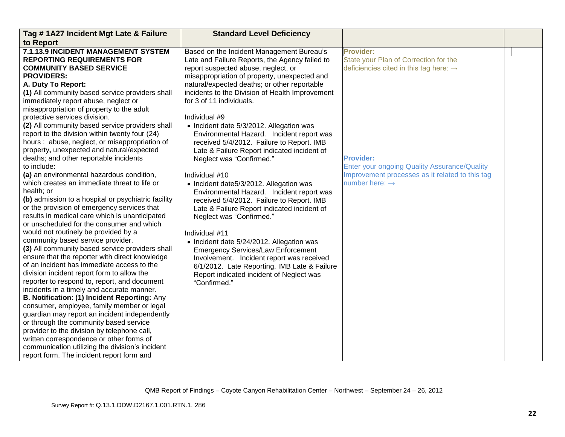| Tag #1A27 Incident Mgt Late & Failure                                                              | <b>Standard Level Deficiency</b>                                                       |                                                     |  |
|----------------------------------------------------------------------------------------------------|----------------------------------------------------------------------------------------|-----------------------------------------------------|--|
| to Report                                                                                          |                                                                                        |                                                     |  |
| 7.1.13.9 INCIDENT MANAGEMENT SYSTEM                                                                | Based on the Incident Management Bureau's                                              | <b>Provider:</b>                                    |  |
| <b>REPORTING REQUIREMENTS FOR</b>                                                                  | Late and Failure Reports, the Agency failed to                                         | State your Plan of Correction for the               |  |
| <b>COMMUNITY BASED SERVICE</b>                                                                     | report suspected abuse, neglect, or                                                    | deficiencies cited in this tag here: $\rightarrow$  |  |
| <b>PROVIDERS:</b>                                                                                  | misappropriation of property, unexpected and                                           |                                                     |  |
| A. Duty To Report:                                                                                 | natural/expected deaths; or other reportable                                           |                                                     |  |
| (1) All community based service providers shall                                                    | incidents to the Division of Health Improvement                                        |                                                     |  |
| immediately report abuse, neglect or                                                               | for 3 of 11 individuals.                                                               |                                                     |  |
| misappropriation of property to the adult                                                          |                                                                                        |                                                     |  |
| protective services division.                                                                      | Individual #9                                                                          |                                                     |  |
| (2) All community based service providers shall                                                    | • Incident date 5/3/2012. Allegation was                                               |                                                     |  |
| report to the division within twenty four (24)                                                     | Environmental Hazard. Incident report was                                              |                                                     |  |
| hours: abuse, neglect, or misappropriation of                                                      | received 5/4/2012. Failure to Report. IMB                                              |                                                     |  |
| property, unexpected and natural/expected                                                          | Late & Failure Report indicated incident of                                            |                                                     |  |
| deaths; and other reportable incidents                                                             | Neglect was "Confirmed."                                                               | <b>Provider:</b>                                    |  |
| to include:                                                                                        |                                                                                        | <b>Enter your ongoing Quality Assurance/Quality</b> |  |
| (a) an environmental hazardous condition,                                                          | Individual #10                                                                         | Improvement processes as it related to this tag     |  |
| which creates an immediate threat to life or                                                       | • Incident date5/3/2012. Allegation was                                                | number here: $\rightarrow$                          |  |
| health; or                                                                                         | Environmental Hazard. Incident report was                                              |                                                     |  |
| (b) admission to a hospital or psychiatric facility<br>or the provision of emergency services that | received 5/4/2012. Failure to Report. IMB                                              |                                                     |  |
| results in medical care which is unanticipated                                                     | Late & Failure Report indicated incident of                                            |                                                     |  |
| or unscheduled for the consumer and which                                                          | Neglect was "Confirmed."                                                               |                                                     |  |
| would not routinely be provided by a                                                               | Individual #11                                                                         |                                                     |  |
| community based service provider.                                                                  |                                                                                        |                                                     |  |
| (3) All community based service providers shall                                                    | • Incident date 5/24/2012. Allegation was                                              |                                                     |  |
| ensure that the reporter with direct knowledge                                                     | <b>Emergency Services/Law Enforcement</b><br>Involvement. Incident report was received |                                                     |  |
| of an incident has immediate access to the                                                         | 6/1/2012. Late Reporting. IMB Late & Failure                                           |                                                     |  |
| division incident report form to allow the                                                         | Report indicated incident of Neglect was                                               |                                                     |  |
| reporter to respond to, report, and document                                                       | "Confirmed."                                                                           |                                                     |  |
| incidents in a timely and accurate manner.                                                         |                                                                                        |                                                     |  |
| B. Notification: (1) Incident Reporting: Any                                                       |                                                                                        |                                                     |  |
| consumer, employee, family member or legal                                                         |                                                                                        |                                                     |  |
| guardian may report an incident independently                                                      |                                                                                        |                                                     |  |
| or through the community based service                                                             |                                                                                        |                                                     |  |
| provider to the division by telephone call,                                                        |                                                                                        |                                                     |  |
| written correspondence or other forms of                                                           |                                                                                        |                                                     |  |
| communication utilizing the division's incident                                                    |                                                                                        |                                                     |  |
| report form. The incident report form and                                                          |                                                                                        |                                                     |  |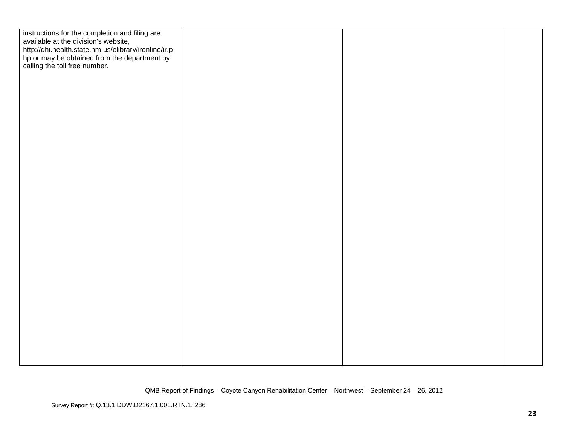| instructions for the completion and filing are<br>available at the division's website,                                                |  |  |
|---------------------------------------------------------------------------------------------------------------------------------------|--|--|
| http://dhi.health.state.nm.us/elibrary/ironline/ir.p<br>hp or may be obtained from the department by<br>calling the toll free number. |  |  |
|                                                                                                                                       |  |  |
|                                                                                                                                       |  |  |
|                                                                                                                                       |  |  |
|                                                                                                                                       |  |  |
|                                                                                                                                       |  |  |
|                                                                                                                                       |  |  |
|                                                                                                                                       |  |  |
|                                                                                                                                       |  |  |
|                                                                                                                                       |  |  |
|                                                                                                                                       |  |  |
|                                                                                                                                       |  |  |
|                                                                                                                                       |  |  |
|                                                                                                                                       |  |  |
|                                                                                                                                       |  |  |
|                                                                                                                                       |  |  |
|                                                                                                                                       |  |  |
|                                                                                                                                       |  |  |
|                                                                                                                                       |  |  |
|                                                                                                                                       |  |  |
|                                                                                                                                       |  |  |
|                                                                                                                                       |  |  |
|                                                                                                                                       |  |  |
|                                                                                                                                       |  |  |
|                                                                                                                                       |  |  |
|                                                                                                                                       |  |  |
|                                                                                                                                       |  |  |
|                                                                                                                                       |  |  |
|                                                                                                                                       |  |  |
|                                                                                                                                       |  |  |
|                                                                                                                                       |  |  |
|                                                                                                                                       |  |  |
|                                                                                                                                       |  |  |
|                                                                                                                                       |  |  |
|                                                                                                                                       |  |  |
|                                                                                                                                       |  |  |
|                                                                                                                                       |  |  |
|                                                                                                                                       |  |  |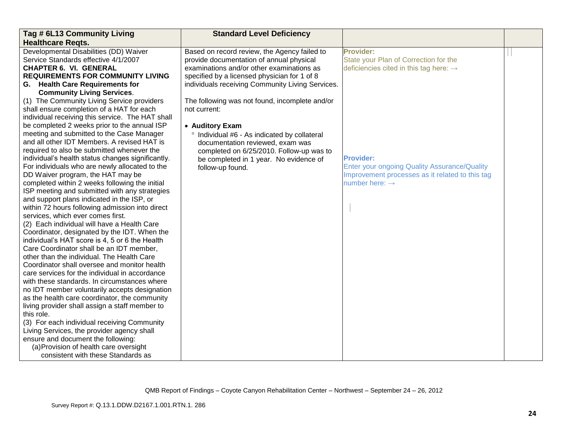| Tag # 6L13 Community Living                       | <b>Standard Level Deficiency</b>                 |                                                    |  |
|---------------------------------------------------|--------------------------------------------------|----------------------------------------------------|--|
| <b>Healthcare Regts.</b>                          |                                                  |                                                    |  |
| Developmental Disabilities (DD) Waiver            | Based on record review, the Agency failed to     | <b>Provider:</b>                                   |  |
| Service Standards effective 4/1/2007              | provide documentation of annual physical         | State your Plan of Correction for the              |  |
| <b>CHAPTER 6. VI. GENERAL</b>                     | examinations and/or other examinations as        | deficiencies cited in this tag here: $\rightarrow$ |  |
| <b>REQUIREMENTS FOR COMMUNITY LIVING</b>          | specified by a licensed physician for 1 of 8     |                                                    |  |
| G. Health Care Requirements for                   | individuals receiving Community Living Services. |                                                    |  |
| <b>Community Living Services.</b>                 |                                                  |                                                    |  |
| (1) The Community Living Service providers        | The following was not found, incomplete and/or   |                                                    |  |
| shall ensure completion of a HAT for each         | not current:                                     |                                                    |  |
| individual receiving this service. The HAT shall  |                                                  |                                                    |  |
| be completed 2 weeks prior to the annual ISP      | • Auditory Exam                                  |                                                    |  |
| meeting and submitted to the Case Manager         | ° Individual #6 - As indicated by collateral     |                                                    |  |
| and all other IDT Members. A revised HAT is       | documentation reviewed, exam was                 |                                                    |  |
| required to also be submitted whenever the        | completed on 6/25/2010. Follow-up was to         |                                                    |  |
| individual's health status changes significantly. | be completed in 1 year. No evidence of           | <b>Provider:</b>                                   |  |
| For individuals who are newly allocated to the    | follow-up found.                                 | Enter your ongoing Quality Assurance/Quality       |  |
| DD Waiver program, the HAT may be                 |                                                  | Improvement processes as it related to this tag    |  |
| completed within 2 weeks following the initial    |                                                  | number here: $\rightarrow$                         |  |
| ISP meeting and submitted with any strategies     |                                                  |                                                    |  |
| and support plans indicated in the ISP, or        |                                                  |                                                    |  |
| within 72 hours following admission into direct   |                                                  |                                                    |  |
| services, which ever comes first.                 |                                                  |                                                    |  |
| (2) Each individual will have a Health Care       |                                                  |                                                    |  |
| Coordinator, designated by the IDT. When the      |                                                  |                                                    |  |
| individual's HAT score is 4, 5 or 6 the Health    |                                                  |                                                    |  |
| Care Coordinator shall be an IDT member,          |                                                  |                                                    |  |
| other than the individual. The Health Care        |                                                  |                                                    |  |
| Coordinator shall oversee and monitor health      |                                                  |                                                    |  |
| care services for the individual in accordance    |                                                  |                                                    |  |
| with these standards. In circumstances where      |                                                  |                                                    |  |
| no IDT member voluntarily accepts designation     |                                                  |                                                    |  |
| as the health care coordinator, the community     |                                                  |                                                    |  |
| living provider shall assign a staff member to    |                                                  |                                                    |  |
| this role.                                        |                                                  |                                                    |  |
| (3) For each individual receiving Community       |                                                  |                                                    |  |
| Living Services, the provider agency shall        |                                                  |                                                    |  |
| ensure and document the following:                |                                                  |                                                    |  |
| (a) Provision of health care oversight            |                                                  |                                                    |  |
| consistent with these Standards as                |                                                  |                                                    |  |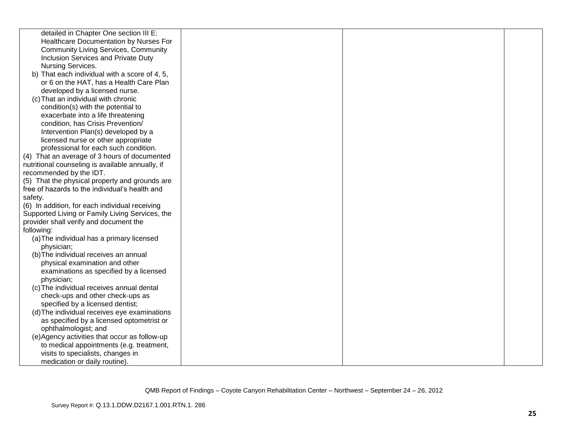| detailed in Chapter One section III E:           |  |  |
|--------------------------------------------------|--|--|
| Healthcare Documentation by Nurses For           |  |  |
| <b>Community Living Services, Community</b>      |  |  |
| Inclusion Services and Private Duty              |  |  |
| Nursing Services.                                |  |  |
| b) That each individual with a score of 4, 5,    |  |  |
| or 6 on the HAT, has a Health Care Plan          |  |  |
| developed by a licensed nurse.                   |  |  |
| (c) That an individual with chronic              |  |  |
| condition(s) with the potential to               |  |  |
| exacerbate into a life threatening               |  |  |
| condition, has Crisis Prevention/                |  |  |
| Intervention Plan(s) developed by a              |  |  |
| licensed nurse or other appropriate              |  |  |
| professional for each such condition.            |  |  |
| (4) That an average of 3 hours of documented     |  |  |
| nutritional counseling is available annually, if |  |  |
| recommended by the IDT.                          |  |  |
| (5) That the physical property and grounds are   |  |  |
| free of hazards to the individual's health and   |  |  |
| safety.                                          |  |  |
| (6) In addition, for each individual receiving   |  |  |
| Supported Living or Family Living Services, the  |  |  |
| provider shall verify and document the           |  |  |
| following:                                       |  |  |
| (a) The individual has a primary licensed        |  |  |
| physician;                                       |  |  |
| (b) The individual receives an annual            |  |  |
| physical examination and other                   |  |  |
| examinations as specified by a licensed          |  |  |
| physician;                                       |  |  |
| (c) The individual receives annual dental        |  |  |
| check-ups and other check-ups as                 |  |  |
| specified by a licensed dentist;                 |  |  |
| (d) The individual receives eye examinations     |  |  |
| as specified by a licensed optometrist or        |  |  |
| ophthalmologist; and                             |  |  |
| (e) Agency activities that occur as follow-up    |  |  |
| to medical appointments (e.g. treatment,         |  |  |
| visits to specialists, changes in                |  |  |
| medication or daily routine).                    |  |  |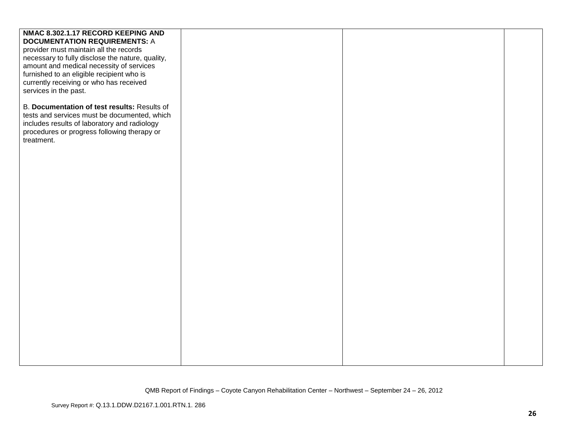| NMAC 8.302.1.17 RECORD KEEPING AND               |  |  |
|--------------------------------------------------|--|--|
| <b>DOCUMENTATION REQUIREMENTS: A</b>             |  |  |
| provider must maintain all the records           |  |  |
| necessary to fully disclose the nature, quality, |  |  |
| amount and medical necessity of services         |  |  |
| furnished to an eligible recipient who is        |  |  |
| currently receiving or who has received          |  |  |
| services in the past.                            |  |  |
|                                                  |  |  |
| B. Documentation of test results: Results of     |  |  |
| tests and services must be documented, which     |  |  |
| includes results of laboratory and radiology     |  |  |
|                                                  |  |  |
| procedures or progress following therapy or      |  |  |
| treatment.                                       |  |  |
|                                                  |  |  |
|                                                  |  |  |
|                                                  |  |  |
|                                                  |  |  |
|                                                  |  |  |
|                                                  |  |  |
|                                                  |  |  |
|                                                  |  |  |
|                                                  |  |  |
|                                                  |  |  |
|                                                  |  |  |
|                                                  |  |  |
|                                                  |  |  |
|                                                  |  |  |
|                                                  |  |  |
|                                                  |  |  |
|                                                  |  |  |
|                                                  |  |  |
|                                                  |  |  |
|                                                  |  |  |
|                                                  |  |  |
|                                                  |  |  |
|                                                  |  |  |
|                                                  |  |  |
|                                                  |  |  |
|                                                  |  |  |
|                                                  |  |  |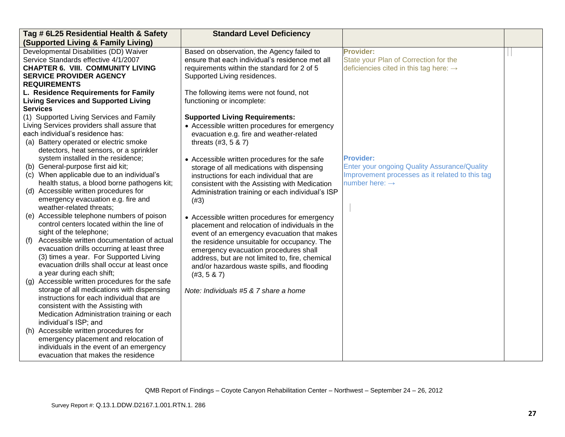| Tag # 6L25 Residential Health & Safety                                                          | <b>Standard Level Deficiency</b>                 |                                                     |  |
|-------------------------------------------------------------------------------------------------|--------------------------------------------------|-----------------------------------------------------|--|
| (Supported Living & Family Living)                                                              |                                                  |                                                     |  |
| Developmental Disabilities (DD) Waiver                                                          | Based on observation, the Agency failed to       | <b>Provider:</b>                                    |  |
| Service Standards effective 4/1/2007                                                            | ensure that each individual's residence met all  | State your Plan of Correction for the               |  |
| <b>CHAPTER 6. VIII. COMMUNITY LIVING</b>                                                        | requirements within the standard for 2 of 5      | deficiencies cited in this tag here: $\rightarrow$  |  |
| <b>SERVICE PROVIDER AGENCY</b>                                                                  | Supported Living residences.                     |                                                     |  |
| <b>REQUIREMENTS</b>                                                                             |                                                  |                                                     |  |
| L. Residence Requirements for Family                                                            | The following items were not found, not          |                                                     |  |
| <b>Living Services and Supported Living</b>                                                     | functioning or incomplete:                       |                                                     |  |
| <b>Services</b>                                                                                 |                                                  |                                                     |  |
| (1) Supported Living Services and Family                                                        | <b>Supported Living Requirements:</b>            |                                                     |  |
| Living Services providers shall assure that<br>each individual's residence has:                 | • Accessible written procedures for emergency    |                                                     |  |
| (a) Battery operated or electric smoke                                                          | evacuation e.g. fire and weather-related         |                                                     |  |
| detectors, heat sensors, or a sprinkler                                                         | threats (#3, 5 & 7)                              |                                                     |  |
| system installed in the residence;                                                              | • Accessible written procedures for the safe     | <b>Provider:</b>                                    |  |
| (b) General-purpose first aid kit;                                                              | storage of all medications with dispensing       | <b>Enter your ongoing Quality Assurance/Quality</b> |  |
| (c) When applicable due to an individual's                                                      | instructions for each individual that are        | Improvement processes as it related to this tag     |  |
| health status, a blood borne pathogens kit;                                                     | consistent with the Assisting with Medication    | number here: $\rightarrow$                          |  |
| (d) Accessible written procedures for                                                           | Administration training or each individual's ISP |                                                     |  |
| emergency evacuation e.g. fire and                                                              | (#3)                                             |                                                     |  |
| weather-related threats;                                                                        |                                                  |                                                     |  |
| (e) Accessible telephone numbers of poison                                                      | • Accessible written procedures for emergency    |                                                     |  |
| control centers located within the line of                                                      | placement and relocation of individuals in the   |                                                     |  |
| sight of the telephone;                                                                         | event of an emergency evacuation that makes      |                                                     |  |
| Accessible written documentation of actual<br>(f)                                               | the residence unsuitable for occupancy. The      |                                                     |  |
| evacuation drills occurring at least three                                                      | emergency evacuation procedures shall            |                                                     |  |
| (3) times a year. For Supported Living                                                          | address, but are not limited to, fire, chemical  |                                                     |  |
| evacuation drills shall occur at least once                                                     | and/or hazardous waste spills, and flooding      |                                                     |  |
| a year during each shift;                                                                       | (#3, 5 & 87)                                     |                                                     |  |
| Accessible written procedures for the safe<br>(q)<br>storage of all medications with dispensing |                                                  |                                                     |  |
| instructions for each individual that are                                                       | Note: Individuals #5 & 7 share a home            |                                                     |  |
| consistent with the Assisting with                                                              |                                                  |                                                     |  |
| Medication Administration training or each                                                      |                                                  |                                                     |  |
| individual's ISP; and                                                                           |                                                  |                                                     |  |
| Accessible written procedures for<br>(h)                                                        |                                                  |                                                     |  |
| emergency placement and relocation of                                                           |                                                  |                                                     |  |
| individuals in the event of an emergency                                                        |                                                  |                                                     |  |
| evacuation that makes the residence                                                             |                                                  |                                                     |  |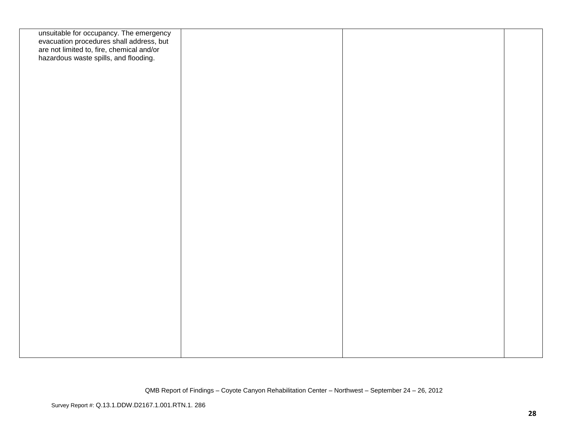| unsuitable for occupancy. The emergency<br>evacuation procedures shall address, but<br>are not limited to, fire, chemical and/or<br>hazardous waste spills, and flooding. |  |  |
|---------------------------------------------------------------------------------------------------------------------------------------------------------------------------|--|--|
|                                                                                                                                                                           |  |  |
|                                                                                                                                                                           |  |  |
|                                                                                                                                                                           |  |  |
|                                                                                                                                                                           |  |  |
|                                                                                                                                                                           |  |  |
|                                                                                                                                                                           |  |  |
|                                                                                                                                                                           |  |  |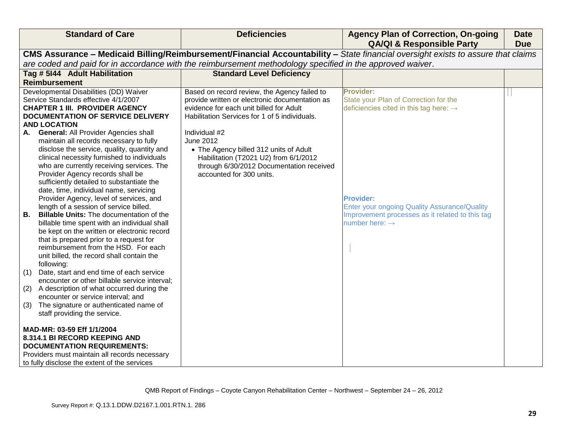| <b>Standard of Care</b>                                                                          | <b>Deficiencies</b>                                                                                       | <b>Agency Plan of Correction, On-going</b><br><b>QA/QI &amp; Responsible Party</b>                                               | <b>Date</b><br><b>Due</b> |
|--------------------------------------------------------------------------------------------------|-----------------------------------------------------------------------------------------------------------|----------------------------------------------------------------------------------------------------------------------------------|---------------------------|
|                                                                                                  |                                                                                                           | CMS Assurance - Medicaid Billing/Reimbursement/Financial Accountability - State financial oversight exists to assure that claims |                           |
|                                                                                                  | are coded and paid for in accordance with the reimbursement methodology specified in the approved waiver. |                                                                                                                                  |                           |
| Tag # 5144 Adult Habilitation                                                                    | <b>Standard Level Deficiency</b>                                                                          |                                                                                                                                  |                           |
| <b>Reimbursement</b>                                                                             |                                                                                                           |                                                                                                                                  |                           |
| Developmental Disabilities (DD) Waiver<br>Service Standards effective 4/1/2007                   | Based on record review, the Agency failed to<br>provide written or electronic documentation as            | <b>Provider:</b><br>State your Plan of Correction for the                                                                        |                           |
| <b>CHAPTER 1 III. PROVIDER AGENCY</b>                                                            | evidence for each unit billed for Adult                                                                   | deficiencies cited in this tag here: $\rightarrow$                                                                               |                           |
| <b>DOCUMENTATION OF SERVICE DELIVERY</b>                                                         | Habilitation Services for 1 of 5 individuals.                                                             |                                                                                                                                  |                           |
| <b>AND LOCATION</b>                                                                              |                                                                                                           |                                                                                                                                  |                           |
| <b>General: All Provider Agencies shall</b><br>А.                                                | Individual #2                                                                                             |                                                                                                                                  |                           |
| maintain all records necessary to fully                                                          | June 2012                                                                                                 |                                                                                                                                  |                           |
| disclose the service, quality, quantity and                                                      | • The Agency billed 312 units of Adult                                                                    |                                                                                                                                  |                           |
| clinical necessity furnished to individuals<br>who are currently receiving services. The         | Habilitation (T2021 U2) from 6/1/2012<br>through 6/30/2012 Documentation received                         |                                                                                                                                  |                           |
| Provider Agency records shall be                                                                 | accounted for 300 units.                                                                                  |                                                                                                                                  |                           |
| sufficiently detailed to substantiate the                                                        |                                                                                                           |                                                                                                                                  |                           |
| date, time, individual name, servicing                                                           |                                                                                                           |                                                                                                                                  |                           |
| Provider Agency, level of services, and                                                          |                                                                                                           | <b>Provider:</b>                                                                                                                 |                           |
| length of a session of service billed.                                                           |                                                                                                           | <b>Enter your ongoing Quality Assurance/Quality</b>                                                                              |                           |
| <b>B.</b><br><b>Billable Units:</b> The documentation of the                                     |                                                                                                           | Improvement processes as it related to this tag                                                                                  |                           |
| billable time spent with an individual shall<br>be kept on the written or electronic record      |                                                                                                           | number here: $\rightarrow$                                                                                                       |                           |
| that is prepared prior to a request for                                                          |                                                                                                           |                                                                                                                                  |                           |
| reimbursement from the HSD. For each                                                             |                                                                                                           |                                                                                                                                  |                           |
| unit billed, the record shall contain the                                                        |                                                                                                           |                                                                                                                                  |                           |
| following:                                                                                       |                                                                                                           |                                                                                                                                  |                           |
| Date, start and end time of each service<br>(1)<br>encounter or other billable service interval; |                                                                                                           |                                                                                                                                  |                           |
| A description of what occurred during the<br>(2)                                                 |                                                                                                           |                                                                                                                                  |                           |
| encounter or service interval; and                                                               |                                                                                                           |                                                                                                                                  |                           |
| The signature or authenticated name of<br>(3)                                                    |                                                                                                           |                                                                                                                                  |                           |
| staff providing the service.                                                                     |                                                                                                           |                                                                                                                                  |                           |
| MAD-MR: 03-59 Eff 1/1/2004                                                                       |                                                                                                           |                                                                                                                                  |                           |
| 8.314.1 BI RECORD KEEPING AND                                                                    |                                                                                                           |                                                                                                                                  |                           |
| <b>DOCUMENTATION REQUIREMENTS:</b>                                                               |                                                                                                           |                                                                                                                                  |                           |
| Providers must maintain all records necessary                                                    |                                                                                                           |                                                                                                                                  |                           |
| to fully disclose the extent of the services                                                     |                                                                                                           |                                                                                                                                  |                           |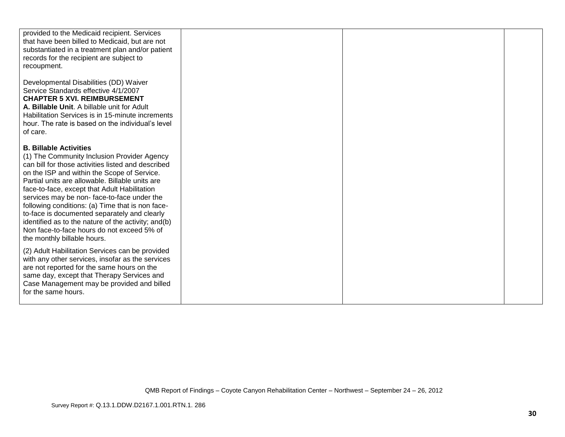| provided to the Medicaid recipient. Services<br>that have been billed to Medicaid, but are not<br>substantiated in a treatment plan and/or patient                                                                                                                                                                                                                                                                                                                                                                                                                         |  |  |
|----------------------------------------------------------------------------------------------------------------------------------------------------------------------------------------------------------------------------------------------------------------------------------------------------------------------------------------------------------------------------------------------------------------------------------------------------------------------------------------------------------------------------------------------------------------------------|--|--|
| records for the recipient are subject to<br>recoupment.                                                                                                                                                                                                                                                                                                                                                                                                                                                                                                                    |  |  |
| Developmental Disabilities (DD) Waiver<br>Service Standards effective 4/1/2007<br><b>CHAPTER 5 XVI. REIMBURSEMENT</b><br>A. Billable Unit. A billable unit for Adult<br>Habilitation Services is in 15-minute increments<br>hour. The rate is based on the individual's level<br>of care.                                                                                                                                                                                                                                                                                  |  |  |
| <b>B. Billable Activities</b><br>(1) The Community Inclusion Provider Agency<br>can bill for those activities listed and described<br>on the ISP and within the Scope of Service.<br>Partial units are allowable. Billable units are<br>face-to-face, except that Adult Habilitation<br>services may be non-face-to-face under the<br>following conditions: (a) Time that is non face-<br>to-face is documented separately and clearly<br>identified as to the nature of the activity; and(b)<br>Non face-to-face hours do not exceed 5% of<br>the monthly billable hours. |  |  |
| (2) Adult Habilitation Services can be provided<br>with any other services, insofar as the services<br>are not reported for the same hours on the<br>same day, except that Therapy Services and<br>Case Management may be provided and billed<br>for the same hours.                                                                                                                                                                                                                                                                                                       |  |  |